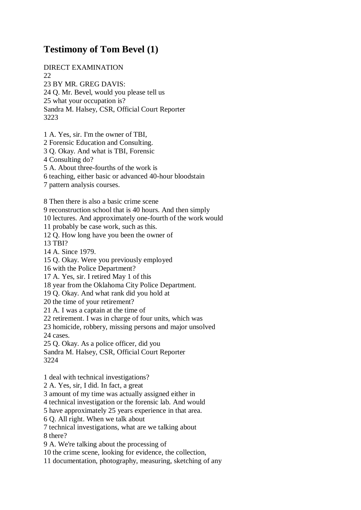## **Testimony of Tom Bevel (1)**

DIRECT EXAMINATION 22 23 BY MR. GREG DAVIS: 24 Q. Mr. Bevel, would you please tell us 25 what your occupation is? Sandra M. Halsey, CSR, Official Court Reporter 3223

1 A. Yes, sir. I'm the owner of TBI, 2 Forensic Education and Consulting. 3 Q. Okay. And what is TBI, Forensic

4 Consulting do?

5 A. About three-fourths of the work is

6 teaching, either basic or advanced 40-hour bloodstain

7 pattern analysis courses.

8 Then there is also a basic crime scene

9 reconstruction school that is 40 hours. And then simply

10 lectures. And approximately one-fourth of the work would

11 probably be case work, such as this.

12 Q. How long have you been the owner of

13 TBI?

14 A. Since 1979.

15 Q. Okay. Were you previously employed

16 with the Police Department?

17 A. Yes, sir. I retired May 1 of this

18 year from the Oklahoma City Police Department.

19 Q. Okay. And what rank did you hold at

20 the time of your retirement?

21 A. I was a captain at the time of

22 retirement. I was in charge of four units, which was

23 homicide, robbery, missing persons and major unsolved

24 cases.

25 Q. Okay. As a police officer, did you

Sandra M. Halsey, CSR, Official Court Reporter 3224

1 deal with technical investigations?

2 A. Yes, sir, I did. In fact, a great

3 amount of my time was actually assigned either in

4 technical investigation or the forensic lab. And would

5 have approximately 25 years experience in that area.

6 Q. All right. When we talk about

7 technical investigations, what are we talking about 8 there?

9 A. We're talking about the processing of

10 the crime scene, looking for evidence, the collection,

11 documentation, photography, measuring, sketching of any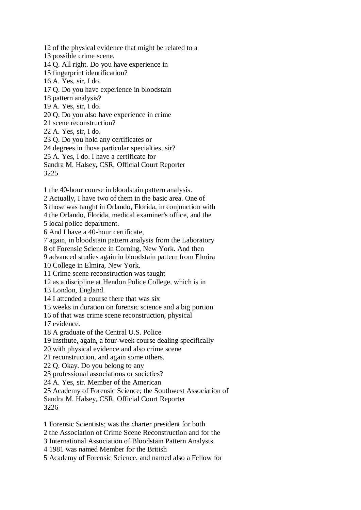12 of the physical evidence that might be related to a 13 possible crime scene. 14 Q. All right. Do you have experience in 15 fingerprint identification? 16 A. Yes, sir, I do. 17 Q. Do you have experience in bloodstain 18 pattern analysis? 19 A. Yes, sir, I do. 20 Q. Do you also have experience in crime 21 scene reconstruction? 22 A. Yes, sir, I do. 23 Q. Do you hold any certificates or 24 degrees in those particular specialties, sir? 25 A. Yes, I do. I have a certificate for Sandra M. Halsey, CSR, Official Court Reporter 3225

1 the 40-hour course in bloodstain pattern analysis.

2 Actually, I have two of them in the basic area. One of

3 those was taught in Orlando, Florida, in conjunction with

4 the Orlando, Florida, medical examiner's office, and the

5 local police department.

6 And I have a 40-hour certificate,

7 again, in bloodstain pattern analysis from the Laboratory

8 of Forensic Science in Corning, New York. And then

9 advanced studies again in bloodstain pattern from Elmira

10 College in Elmira, New York.

11 Crime scene reconstruction was taught

12 as a discipline at Hendon Police College, which is in

13 London, England.

14 I attended a course there that was six

15 weeks in duration on forensic science and a big portion

16 of that was crime scene reconstruction, physical

17 evidence.

18 A graduate of the Central U.S. Police

19 Institute, again, a four-week course dealing specifically

20 with physical evidence and also crime scene

21 reconstruction, and again some others.

22 Q. Okay. Do you belong to any

23 professional associations or societies?

24 A. Yes, sir. Member of the American

25 Academy of Forensic Science; the Southwest Association of

Sandra M. Halsey, CSR, Official Court Reporter

3226

1 Forensic Scientists; was the charter president for both

2 the Association of Crime Scene Reconstruction and for the

3 International Association of Bloodstain Pattern Analysts.

4 1981 was named Member for the British

5 Academy of Forensic Science, and named also a Fellow for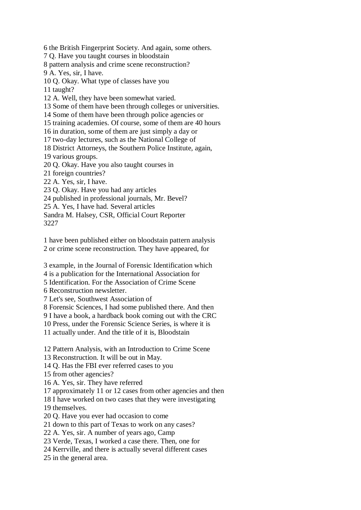6 the British Fingerprint Society. And again, some others.

7 Q. Have you taught courses in bloodstain

8 pattern analysis and crime scene reconstruction?

9 A. Yes, sir, I have.

10 Q. Okay. What type of classes have you

11 taught?

12 A. Well, they have been somewhat varied.

13 Some of them have been through colleges or universities.

14 Some of them have been through police agencies or

15 training academies. Of course, some of them are 40 hours

16 in duration, some of them are just simply a day or

17 two-day lectures, such as the National College of

18 District Attorneys, the Southern Police Institute, again,

19 various groups.

20 Q. Okay. Have you also taught courses in

21 foreign countries?

22 A. Yes, sir, I have.

23 Q. Okay. Have you had any articles

24 published in professional journals, Mr. Bevel?

25 A. Yes, I have had. Several articles

Sandra M. Halsey, CSR, Official Court Reporter 3227

1 have been published either on bloodstain pattern analysis 2 or crime scene reconstruction. They have appeared, for

3 example, in the Journal of Forensic Identification which

4 is a publication for the International Association for

5 Identification. For the Association of Crime Scene

6 Reconstruction newsletter.

7 Let's see, Southwest Association of

8 Forensic Sciences, I had some published there. And then

9 I have a book, a hardback book coming out with the CRC

10 Press, under the Forensic Science Series, is where it is

11 actually under. And the title of it is, Bloodstain

12 Pattern Analysis, with an Introduction to Crime Scene

13 Reconstruction. It will be out in May.

14 Q. Has the FBI ever referred cases to you

15 from other agencies?

16 A. Yes, sir. They have referred

17 approximately 11 or 12 cases from other agencies and then

18 I have worked on two cases that they were investigating

19 themselves.

20 Q. Have you ever had occasion to come

21 down to this part of Texas to work on any cases?

22 A. Yes, sir. A number of years ago, Camp

23 Verde, Texas, I worked a case there. Then, one for

24 Kerrville, and there is actually several different cases

25 in the general area.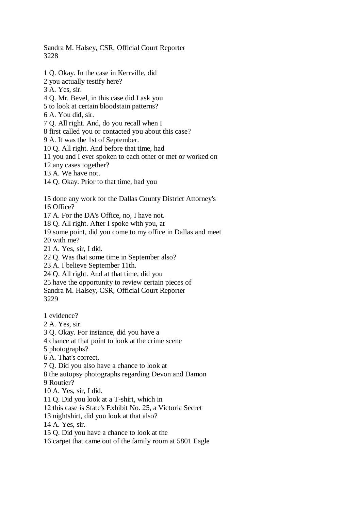Sandra M. Halsey, CSR, Official Court Reporter 3228

- 1 Q. Okay. In the case in Kerrville, did
- 2 you actually testify here?
- 3 A. Yes, sir.
- 4 Q. Mr. Bevel, in this case did I ask you
- 5 to look at certain bloodstain patterns?

6 A. You did, sir.

- 7 Q. All right. And, do you recall when I
- 8 first called you or contacted you about this case?

9 A. It was the 1st of September.

- 10 Q. All right. And before that time, had
- 11 you and I ever spoken to each other or met or worked on
- 12 any cases together?
- 13 A. We have not.
- 14 Q. Okay. Prior to that time, had you

15 done any work for the Dallas County District Attorney's

16 Office?

17 A. For the DA's Office, no, I have not.

18 Q. All right. After I spoke with you, at

19 some point, did you come to my office in Dallas and meet

20 with me?

21 A. Yes, sir, I did.

22 Q. Was that some time in September also?

23 A. I believe September 11th.

24 Q. All right. And at that time, did you

25 have the opportunity to review certain pieces of

Sandra M. Halsey, CSR, Official Court Reporter 3229

1 evidence?

- 2 A. Yes, sir.
- 3 Q. Okay. For instance, did you have a

4 chance at that point to look at the crime scene

5 photographs?

6 A. That's correct.

7 Q. Did you also have a chance to look at

8 the autopsy photographs regarding Devon and Damon

9 Routier?

10 A. Yes, sir, I did.

11 Q. Did you look at a T-shirt, which in

12 this case is State's Exhibit No. 25, a Victoria Secret

13 nightshirt, did you look at that also?

14 A. Yes, sir.

15 Q. Did you have a chance to look at the

16 carpet that came out of the family room at 5801 Eagle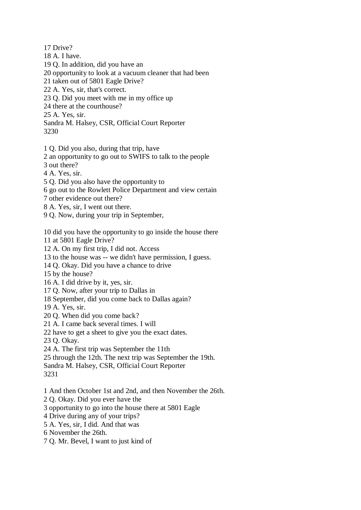17 Drive? 18 A. I have. 19 Q. In addition, did you have an 20 opportunity to look at a vacuum cleaner that had been 21 taken out of 5801 Eagle Drive? 22 A. Yes, sir, that's correct. 23 Q. Did you meet with me in my office up 24 there at the courthouse? 25 A. Yes, sir. Sandra M. Halsey, CSR, Official Court Reporter 3230

1 Q. Did you also, during that trip, have

2 an opportunity to go out to SWIFS to talk to the people

3 out there?

4 A. Yes, sir.

5 Q. Did you also have the opportunity to

6 go out to the Rowlett Police Department and view certain

7 other evidence out there?

8 A. Yes, sir, I went out there.

9 Q. Now, during your trip in September,

10 did you have the opportunity to go inside the house there

11 at 5801 Eagle Drive?

12 A. On my first trip, I did not. Access

13 to the house was -- we didn't have permission, I guess.

14 Q. Okay. Did you have a chance to drive

15 by the house?

16 A. I did drive by it, yes, sir.

17 Q. Now, after your trip to Dallas in

18 September, did you come back to Dallas again?

19 A. Yes, sir.

20 Q. When did you come back?

21 A. I came back several times. I will

22 have to get a sheet to give you the exact dates.

23 Q. Okay.

24 A. The first trip was September the 11th

25 through the 12th. The next trip was September the 19th.

Sandra M. Halsey, CSR, Official Court Reporter

3231

1 And then October 1st and 2nd, and then November the 26th.

2 Q. Okay. Did you ever have the

3 opportunity to go into the house there at 5801 Eagle

4 Drive during any of your trips?

5 A. Yes, sir, I did. And that was

6 November the 26th.

7 Q. Mr. Bevel, I want to just kind of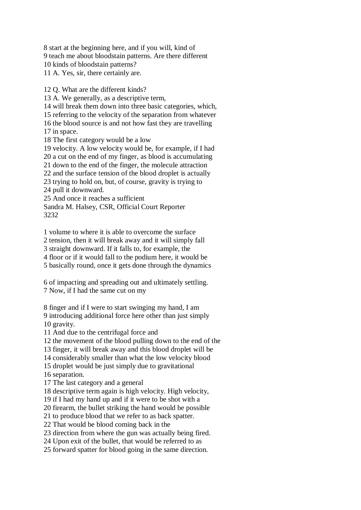8 start at the beginning here, and if you will, kind of 9 teach me about bloodstain patterns. Are there different 10 kinds of bloodstain patterns? 11 A. Yes, sir, there certainly are.

12 Q. What are the different kinds?

13 A. We generally, as a descriptive term,

14 will break them down into three basic categories, which,

15 referring to the velocity of the separation from whatever 16 the blood source is and not how fast they are travelling

17 in space.

18 The first category would be a low

19 velocity. A low velocity would be, for example, if I had

20 a cut on the end of my finger, as blood is accumulating

21 down to the end of the finger, the molecule attraction

22 and the surface tension of the blood droplet is actually

23 trying to hold on, but, of course, gravity is trying to

24 pull it downward.

25 And once it reaches a sufficient

Sandra M. Halsey, CSR, Official Court Reporter 3232

1 volume to where it is able to overcome the surface

2 tension, then it will break away and it will simply fall

3 straight downward. If it falls to, for example, the

4 floor or if it would fall to the podium here, it would be

5 basically round, once it gets done through the dynamics

6 of impacting and spreading out and ultimately settling. 7 Now, if I had the same cut on my

8 finger and if I were to start swinging my hand, I am 9 introducing additional force here other than just simply 10 gravity.

11 And due to the centrifugal force and

12 the movement of the blood pulling down to the end of the

13 finger, it will break away and this blood droplet will be

14 considerably smaller than what the low velocity blood

15 droplet would be just simply due to gravitational

16 separation.

17 The last category and a general

18 descriptive term again is high velocity. High velocity,

19 if I had my hand up and if it were to be shot with a

20 firearm, the bullet striking the hand would be possible

21 to produce blood that we refer to as back spatter.

22 That would be blood coming back in the

23 direction from where the gun was actually being fired.

24 Upon exit of the bullet, that would be referred to as

25 forward spatter for blood going in the same direction.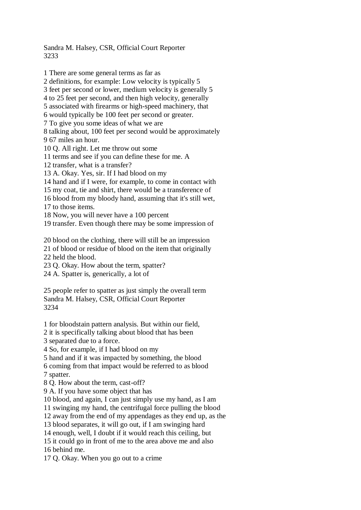Sandra M. Halsey, CSR, Official Court Reporter 3233

1 There are some general terms as far as 2 definitions, for example: Low velocity is typically 5 3 feet per second or lower, medium velocity is generally 5 4 to 25 feet per second, and then high velocity, generally 5 associated with firearms or high-speed machinery, that 6 would typically be 100 feet per second or greater. 7 To give you some ideas of what we are 8 talking about, 100 feet per second would be approximately 9 67 miles an hour. 10 Q. All right. Let me throw out some 11 terms and see if you can define these for me. A 12 transfer, what is a transfer? 13 A. Okay. Yes, sir. If I had blood on my 14 hand and if I were, for example, to come in contact with 15 my coat, tie and shirt, there would be a transference of 16 blood from my bloody hand, assuming that it's still wet, 17 to those items. 18 Now, you will never have a 100 percent 19 transfer. Even though there may be some impression of 20 blood on the clothing, there will still be an impression 21 of blood or residue of blood on the item that originally 22 held the blood. 23 Q. Okay. How about the term, spatter? 24 A. Spatter is, generically, a lot of 25 people refer to spatter as just simply the overall term Sandra M. Halsey, CSR, Official Court Reporter 3234 1 for bloodstain pattern analysis. But within our field, 2 it is specifically talking about blood that has been

3 separated due to a force.

4 So, for example, if I had blood on my

5 hand and if it was impacted by something, the blood

6 coming from that impact would be referred to as blood 7 spatter.

8 Q. How about the term, cast-off?

9 A. If you have some object that has

10 blood, and again, I can just simply use my hand, as I am

11 swinging my hand, the centrifugal force pulling the blood

12 away from the end of my appendages as they end up, as the

13 blood separates, it will go out, if I am swinging hard

14 enough, well, I doubt if it would reach this ceiling, but

15 it could go in front of me to the area above me and also 16 behind me.

17 Q. Okay. When you go out to a crime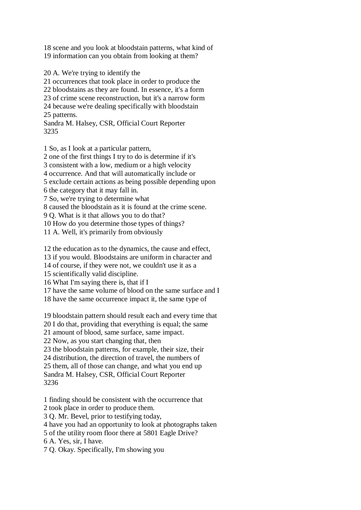18 scene and you look at bloodstain patterns, what kind of 19 information can you obtain from looking at them?

20 A. We're trying to identify the 21 occurrences that took place in order to produce the 22 bloodstains as they are found. In essence, it's a form 23 of crime scene reconstruction, but it's a narrow form 24 because we're dealing specifically with bloodstain 25 patterns. Sandra M. Halsey, CSR, Official Court Reporter 3235

1 So, as I look at a particular pattern, 2 one of the first things I try to do is determine if it's 3 consistent with a low, medium or a high velocity 4 occurrence. And that will automatically include or 5 exclude certain actions as being possible depending upon 6 the category that it may fall in. 7 So, we're trying to determine what 8 caused the bloodstain as it is found at the crime scene. 9 Q. What is it that allows you to do that? 10 How do you determine those types of things? 11 A. Well, it's primarily from obviously

12 the education as to the dynamics, the cause and effect,

13 if you would. Bloodstains are uniform in character and

14 of course, if they were not, we couldn't use it as a

15 scientifically valid discipline.

16 What I'm saying there is, that if I

17 have the same volume of blood on the same surface and I

18 have the same occurrence impact it, the same type of

19 bloodstain pattern should result each and every time that

20 I do that, providing that everything is equal; the same

21 amount of blood, same surface, same impact.

22 Now, as you start changing that, then

23 the bloodstain patterns, for example, their size, their

24 distribution, the direction of travel, the numbers of

25 them, all of those can change, and what you end up

Sandra M. Halsey, CSR, Official Court Reporter 3236

1 finding should be consistent with the occurrence that

2 took place in order to produce them.

3 Q. Mr. Bevel, prior to testifying today,

4 have you had an opportunity to look at photographs taken

5 of the utility room floor there at 5801 Eagle Drive?

6 A. Yes, sir, I have.

7 Q. Okay. Specifically, I'm showing you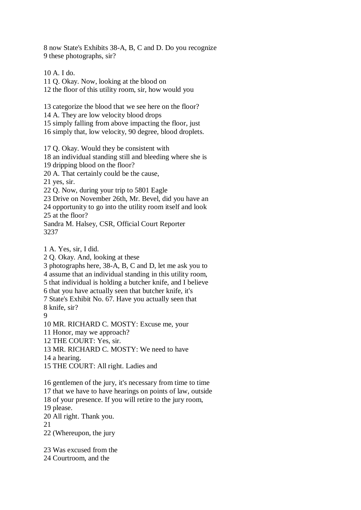8 now State's Exhibits 38-A, B, C and D. Do you recognize 9 these photographs, sir?

10 A. I do. 11 Q. Okay. Now, looking at the blood on 12 the floor of this utility room, sir, how would you

13 categorize the blood that we see here on the floor? 14 A. They are low velocity blood drops 15 simply falling from above impacting the floor, just 16 simply that, low velocity, 90 degree, blood droplets.

17 Q. Okay. Would they be consistent with

18 an individual standing still and bleeding where she is

19 dripping blood on the floor?

20 A. That certainly could be the cause,

21 yes, sir.

22 Q. Now, during your trip to 5801 Eagle

23 Drive on November 26th, Mr. Bevel, did you have an 24 opportunity to go into the utility room itself and look

25 at the floor?

Sandra M. Halsey, CSR, Official Court Reporter 3237

1 A. Yes, sir, I did.

2 Q. Okay. And, looking at these

3 photographs here, 38-A, B, C and D, let me ask you to

4 assume that an individual standing in this utility room,

5 that individual is holding a butcher knife, and I believe

6 that you have actually seen that butcher knife, it's

7 State's Exhibit No. 67. Have you actually seen that 8 knife, sir?

9

10 MR. RICHARD C. MOSTY: Excuse me, your

11 Honor, may we approach?

12 THE COURT: Yes, sir.

13 MR. RICHARD C. MOSTY: We need to have

14 a hearing.

15 THE COURT: All right. Ladies and

16 gentlemen of the jury, it's necessary from time to time 17 that we have to have hearings on points of law, outside

18 of your presence. If you will retire to the jury room,

19 please.

20 All right. Thank you.

21

22 (Whereupon, the jury

23 Was excused from the

24 Courtroom, and the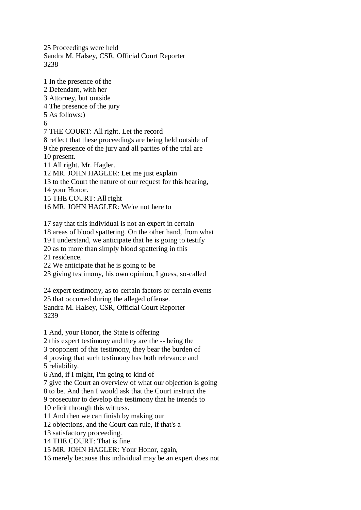25 Proceedings were held Sandra M. Halsey, CSR, Official Court Reporter 3238

1 In the presence of the 2 Defendant, with her 3 Attorney, but outside 4 The presence of the jury 5 As follows:) 6 7 THE COURT: All right. Let the record 8 reflect that these proceedings are being held outside of 9 the presence of the jury and all parties of the trial are 10 present. 11 All right. Mr. Hagler. 12 MR. JOHN HAGLER: Let me just explain 13 to the Court the nature of our request for this hearing, 14 your Honor. 15 THE COURT: All right 16 MR. JOHN HAGLER: We're not here to 17 say that this individual is not an expert in certain 18 areas of blood spattering. On the other hand, from what 19 I understand, we anticipate that he is going to testify 20 as to more than simply blood spattering in this 21 residence. 22 We anticipate that he is going to be 23 giving testimony, his own opinion, I guess, so-called 24 expert testimony, as to certain factors or certain events 25 that occurred during the alleged offense. Sandra M. Halsey, CSR, Official Court Reporter 3239

1 And, your Honor, the State is offering

2 this expert testimony and they are the -- being the

3 proponent of this testimony, they bear the burden of

4 proving that such testimony has both relevance and

5 reliability.

6 And, if I might, I'm going to kind of

7 give the Court an overview of what our objection is going

8 to be. And then I would ask that the Court instruct the

9 prosecutor to develop the testimony that he intends to

10 elicit through this witness.

11 And then we can finish by making our

12 objections, and the Court can rule, if that's a

13 satisfactory proceeding.

14 THE COURT: That is fine.

15 MR. JOHN HAGLER: Your Honor, again,

16 merely because this individual may be an expert does not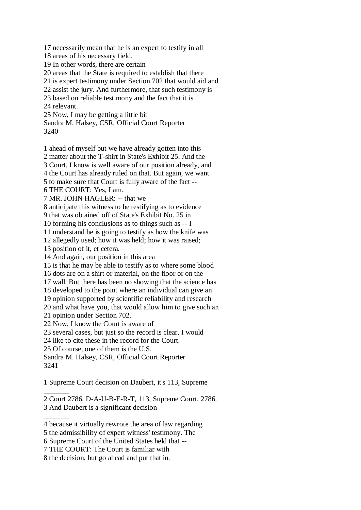17 necessarily mean that he is an expert to testify in all 18 areas of his necessary field. 19 In other words, there are certain 20 areas that the State is required to establish that there 21 is expert testimony under Section 702 that would aid and 22 assist the jury. And furthermore, that such testimony is 23 based on reliable testimony and the fact that it is 24 relevant. 25 Now, I may be getting a little bit Sandra M. Halsey, CSR, Official Court Reporter 3240 1 ahead of myself but we have already gotten into this 2 matter about the T-shirt in State's Exhibit 25. And the

3 Court, I know is well aware of our position already, and 4 the Court has already ruled on that. But again, we want 5 to make sure that Court is fully aware of the fact -- 6 THE COURT: Yes, I am. 7 MR. JOHN HAGLER: -- that we 8 anticipate this witness to be testifying as to evidence 9 that was obtained off of State's Exhibit No. 25 in 10 forming his conclusions as to things such as -- I 11 understand he is going to testify as how the knife was 12 allegedly used; how it was held; how it was raised; 13 position of it, et cetera. 14 And again, our position in this area 15 is that he may be able to testify as to where some blood 16 dots are on a shirt or material, on the floor or on the 17 wall. But there has been no showing that the science has 18 developed to the point where an individual can give an 19 opinion supported by scientific reliability and research 20 and what have you, that would allow him to give such an 21 opinion under Section 702. 22 Now, I know the Court is aware of 23 several cases, but just so the record is clear, I would 24 like to cite these in the record for the Court. 25 Of course, one of them is the U.S. Sandra M. Halsey, CSR, Official Court Reporter

3241

 $\overline{\phantom{a}}$ 

 $\overline{\phantom{a}}$ 

1 Supreme Court decision on Daubert, it's 113, Supreme

2 Court 2786. D-A-U-B-E-R-T, 113, Supreme Court, 2786. 3 And Daubert is a significant decision

<sup>4</sup> because it virtually rewrote the area of law regarding

<sup>5</sup> the admissibility of expert witness' testimony. The

<sup>6</sup> Supreme Court of the United States held that --

<sup>7</sup> THE COURT: The Court is familiar with

<sup>8</sup> the decision, but go ahead and put that in.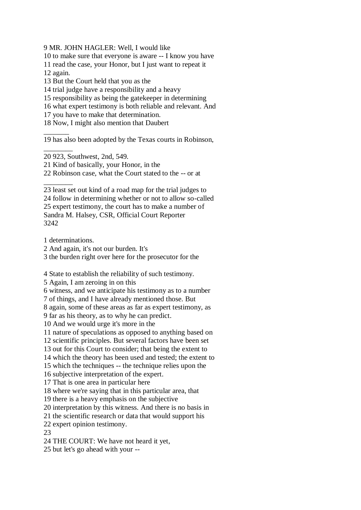9 MR. JOHN HAGLER: Well, I would like

10 to make sure that everyone is aware -- I know you have

11 read the case, your Honor, but I just want to repeat it 12 again.

13 But the Court held that you as the

14 trial judge have a responsibility and a heavy

15 responsibility as being the gatekeeper in determining

16 what expert testimony is both reliable and relevant. And

17 you have to make that determination.

18 Now, I might also mention that Daubert

19 has also been adopted by the Texas courts in Robinson,

20 923, Southwest, 2nd, 549.

21 Kind of basically, your Honor, in the

22 Robinson case, what the Court stated to the -- or at

 $\overline{\phantom{a}}$   $\overline{\phantom{a}}$ 23 least set out kind of a road map for the trial judges to

24 follow in determining whether or not to allow so-called 25 expert testimony, the court has to make a number of Sandra M. Halsey, CSR, Official Court Reporter 3242

1 determinations.

 $\overline{\phantom{a}}$ 

 $\overline{\phantom{a}}$   $\overline{\phantom{a}}$ 

2 And again, it's not our burden. It's

3 the burden right over here for the prosecutor for the

4 State to establish the reliability of such testimony.

5 Again, I am zeroing in on this

6 witness, and we anticipate his testimony as to a number

7 of things, and I have already mentioned those. But

8 again, some of these areas as far as expert testimony, as

9 far as his theory, as to why he can predict.

10 And we would urge it's more in the

11 nature of speculations as opposed to anything based on

12 scientific principles. But several factors have been set

13 out for this Court to consider; that being the extent to

14 which the theory has been used and tested; the extent to

15 which the techniques -- the technique relies upon the

16 subjective interpretation of the expert.

17 That is one area in particular here

18 where we're saying that in this particular area, that

19 there is a heavy emphasis on the subjective

20 interpretation by this witness. And there is no basis in

21 the scientific research or data that would support his

22 expert opinion testimony.

23

24 THE COURT: We have not heard it yet,

25 but let's go ahead with your --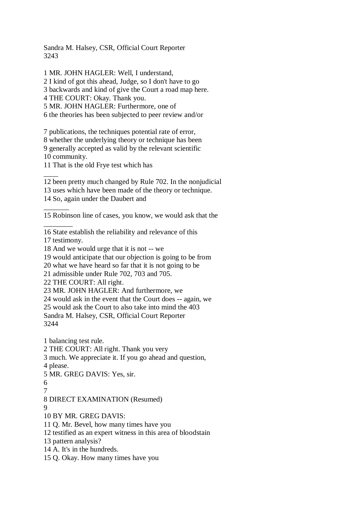Sandra M. Halsey, CSR, Official Court Reporter 3243

1 MR. JOHN HAGLER: Well, I understand,

2 I kind of got this ahead, Judge, so I don't have to go

3 backwards and kind of give the Court a road map here.

4 THE COURT: Okay. Thank you.

5 MR. JOHN HAGLER: Furthermore, one of

6 the theories has been subjected to peer review and/or

7 publications, the techniques potential rate of error, 8 whether the underlying theory or technique has been 9 generally accepted as valid by the relevant scientific 10 community.

11 That is the old Frye test which has

12 been pretty much changed by Rule 702. In the nonjudicial

13 uses which have been made of the theory or technique.

14 So, again under the Daubert and

15 Robinson line of cases, you know, we would ask that the

16 State establish the reliability and relevance of this

17 testimony.

 $\overline{\phantom{a}}$ 

 $\overline{\phantom{a}}$ 

 $\overline{\phantom{a}}$   $\overline{\phantom{a}}$ 

18 And we would urge that it is not -- we

19 would anticipate that our objection is going to be from

20 what we have heard so far that it is not going to be

21 admissible under Rule 702, 703 and 705.

22 THE COURT: All right.

23 MR. JOHN HAGLER: And furthermore, we

24 would ask in the event that the Court does -- again, we

25 would ask the Court to also take into mind the 403

Sandra M. Halsey, CSR, Official Court Reporter

3244

1 balancing test rule.

2 THE COURT: All right. Thank you very

3 much. We appreciate it. If you go ahead and question,

4 please.

5 MR. GREG DAVIS: Yes, sir.

6

7

8 DIRECT EXAMINATION (Resumed)

 $\mathbf Q$ 

10 BY MR. GREG DAVIS:

11 Q. Mr. Bevel, how many times have you

12 testified as an expert witness in this area of bloodstain

13 pattern analysis?

14 A. It's in the hundreds.

15 Q. Okay. How many times have you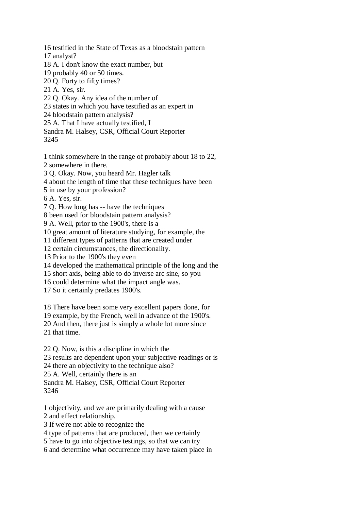16 testified in the State of Texas as a bloodstain pattern

17 analyst?

18 A. I don't know the exact number, but

19 probably 40 or 50 times.

20 Q. Forty to fifty times?

21 A. Yes, sir.

22 Q. Okay. Any idea of the number of

23 states in which you have testified as an expert in

24 bloodstain pattern analysis?

25 A. That I have actually testified, I

Sandra M. Halsey, CSR, Official Court Reporter 3245

1 think somewhere in the range of probably about 18 to 22,

2 somewhere in there.

3 Q. Okay. Now, you heard Mr. Hagler talk

4 about the length of time that these techniques have been

5 in use by your profession?

6 A. Yes, sir.

7 Q. How long has -- have the techniques

8 been used for bloodstain pattern analysis?

9 A. Well, prior to the 1900's, there is a

10 great amount of literature studying, for example, the

11 different types of patterns that are created under

12 certain circumstances, the directionality.

13 Prior to the 1900's they even

14 developed the mathematical principle of the long and the

15 short axis, being able to do inverse arc sine, so you

16 could determine what the impact angle was.

17 So it certainly predates 1900's.

18 There have been some very excellent papers done, for

19 example, by the French, well in advance of the 1900's.

20 And then, there just is simply a whole lot more since

21 that time.

22 Q. Now, is this a discipline in which the

23 results are dependent upon your subjective readings or is

24 there an objectivity to the technique also?

25 A. Well, certainly there is an

Sandra M. Halsey, CSR, Official Court Reporter 3246

1 objectivity, and we are primarily dealing with a cause

2 and effect relationship.

3 If we're not able to recognize the

4 type of patterns that are produced, then we certainly

5 have to go into objective testings, so that we can try

6 and determine what occurrence may have taken place in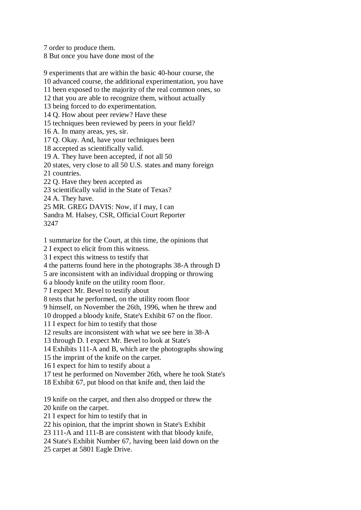7 order to produce them.

8 But once you have done most of the

9 experiments that are within the basic 40-hour course, the 10 advanced course, the additional experimentation, you have 11 been exposed to the majority of the real common ones, so 12 that you are able to recognize them, without actually 13 being forced to do experimentation. 14 Q. How about peer review? Have these 15 techniques been reviewed by peers in your field? 16 A. In many areas, yes, sir. 17 Q. Okay. And, have your techniques been 18 accepted as scientifically valid. 19 A. They have been accepted, if not all 50 20 states, very close to all 50 U.S. states and many foreign 21 countries. 22 Q. Have they been accepted as 23 scientifically valid in the State of Texas? 24 A. They have. 25 MR. GREG DAVIS: Now, if I may, I can Sandra M. Halsey, CSR, Official Court Reporter 3247

1 summarize for the Court, at this time, the opinions that

2 I expect to elicit from this witness.

3 I expect this witness to testify that

4 the patterns found here in the photographs 38-A through D

5 are inconsistent with an individual dropping or throwing

6 a bloody knife on the utility room floor.

7 I expect Mr. Bevel to testify about

8 tests that he performed, on the utility room floor

9 himself, on November the 26th, 1996, when he threw and

10 dropped a bloody knife, State's Exhibit 67 on the floor.

11 I expect for him to testify that those

12 results are inconsistent with what we see here in 38-A

13 through D. I expect Mr. Bevel to look at State's

14 Exhibits 111-A and B, which are the photographs showing

15 the imprint of the knife on the carpet.

16 I expect for him to testify about a

17 test he performed on November 26th, where he took State's

18 Exhibit 67, put blood on that knife and, then laid the

19 knife on the carpet, and then also dropped or threw the 20 knife on the carpet.

21 I expect for him to testify that in

22 his opinion, that the imprint shown in State's Exhibit

23 111-A and 111-B are consistent with that bloody knife,

24 State's Exhibit Number 67, having been laid down on the

25 carpet at 5801 Eagle Drive.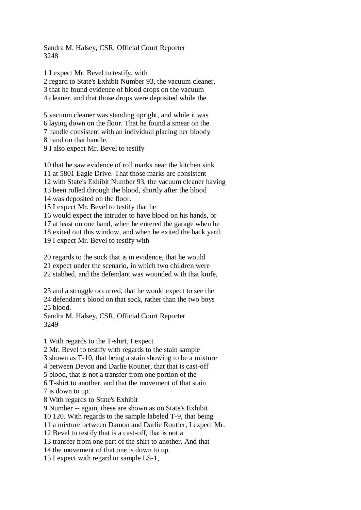Sandra M. Halsey, CSR, Official Court Reporter 3248

1 I expect Mr. Bevel to testify, with 2 regard to State's Exhibit Number 93, the vacuum cleaner, 3 that he found evidence of blood drops on the vacuum 4 cleaner, and that those drops were deposited while the

5 vacuum cleaner was standing upright, and while it was 6 laying down on the floor. That he found a smear on the 7 handle consistent with an individual placing her bloody 8 hand on that handle.

9 I also expect Mr. Bevel to testify

10 that he saw evidence of roll marks near the kitchen sink

11 at 5801 Eagle Drive. That those marks are consistent

12 with State's Exhibit Number 93, the vacuum cleaner having

13 been rolled through the blood, shortly after the blood

14 was deposited on the floor.

15 I expect Mr. Bevel to testify that he

16 would expect the intruder to have blood on his hands, or

17 at least on one hand, when he entered the garage when he

18 exited out this window, and when he exited the back yard.

19 I expect Mr. Bevel to testify with

20 regards to the sock that is in evidence, that he would

21 expect under the scenario, in which two children were

22 stabbed, and the defendant was wounded with that knife,

23 and a struggle occurred, that he would expect to see the 24 defendant's blood on that sock, rather than the two boys 25 blood.

Sandra M. Halsey, CSR, Official Court Reporter 3249

1 With regards to the T-shirt, I expect

2 Mr. Bevel to testify with regards to the stain sample

3 shown as T-10, that being a stain showing to be a mixture

4 between Devon and Darlie Routier, that that is cast-off

5 blood, that is not a transfer from one portion of the

6 T-shirt to another, and that the movement of that stain

7 is down to up.

8 With regards to State's Exhibit

9 Number -- again, these are shown as on State's Exhibit

10 120. With regards to the sample labeled T-9, that being

11 a mixture between Damon and Darlie Routier, I expect Mr.

12 Bevel to testify that is a cast-off, that is not a

13 transfer from one part of the shirt to another. And that

14 the movement of that one is down to up.

15 I expect with regard to sample LS-1,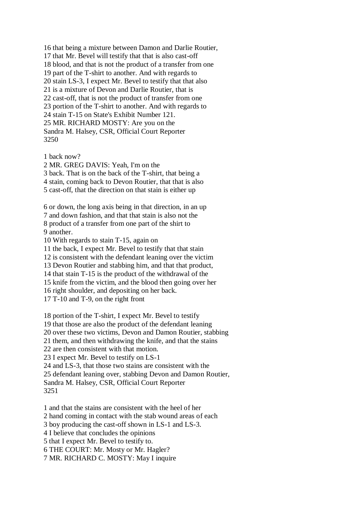16 that being a mixture between Damon and Darlie Routier, 17 that Mr. Bevel will testify that that is also cast-off 18 blood, and that is not the product of a transfer from one 19 part of the T-shirt to another. And with regards to 20 stain LS-3, I expect Mr. Bevel to testify that that also 21 is a mixture of Devon and Darlie Routier, that is 22 cast-off, that is not the product of transfer from one 23 portion of the T-shirt to another. And with regards to 24 stain T-15 on State's Exhibit Number 121. 25 MR. RICHARD MOSTY: Are you on the Sandra M. Halsey, CSR, Official Court Reporter 3250

1 back now?

2 MR. GREG DAVIS: Yeah, I'm on the 3 back. That is on the back of the T-shirt, that being a 4 stain, coming back to Devon Routier, that that is also 5 cast-off, that the direction on that stain is either up

6 or down, the long axis being in that direction, in an up 7 and down fashion, and that that stain is also not the 8 product of a transfer from one part of the shirt to 9 another.

10 With regards to stain T-15, again on

11 the back, I expect Mr. Bevel to testify that that stain

12 is consistent with the defendant leaning over the victim

13 Devon Routier and stabbing him, and that that product,

14 that stain T-15 is the product of the withdrawal of the

15 knife from the victim, and the blood then going over her

16 right shoulder, and depositing on her back.

17 T-10 and T-9, on the right front

18 portion of the T-shirt, I expect Mr. Bevel to testify

19 that those are also the product of the defendant leaning

20 over these two victims, Devon and Damon Routier, stabbing

21 them, and then withdrawing the knife, and that the stains

22 are then consistent with that motion.

23 I expect Mr. Bevel to testify on LS-1

24 and LS-3, that those two stains are consistent with the

25 defendant leaning over, stabbing Devon and Damon Routier,

Sandra M. Halsey, CSR, Official Court Reporter

3251

1 and that the stains are consistent with the heel of her

2 hand coming in contact with the stab wound areas of each

3 boy producing the cast-off shown in LS-1 and LS-3.

4 I believe that concludes the opinions

5 that I expect Mr. Bevel to testify to.

6 THE COURT: Mr. Mosty or Mr. Hagler?

7 MR. RICHARD C. MOSTY: May I inquire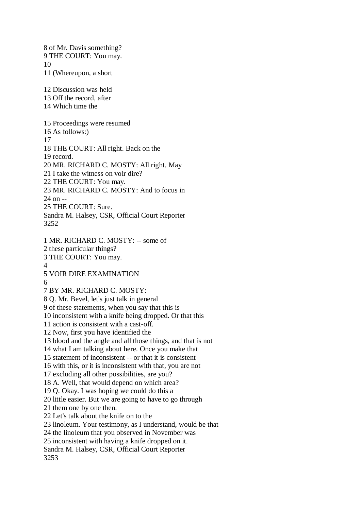8 of Mr. Davis something? 9 THE COURT: You may. 10 11 (Whereupon, a short 12 Discussion was held 13 Off the record, after 14 Which time the 15 Proceedings were resumed 16 As follows:) 17 18 THE COURT: All right. Back on the 19 record. 20 MR. RICHARD C. MOSTY: All right. May 21 I take the witness on voir dire? 22 THE COURT: You may. 23 MR. RICHARD C. MOSTY: And to focus in 24 on -- 25 THE COURT: Sure. Sandra M. Halsey, CSR, Official Court Reporter 3252 1 MR. RICHARD C. MOSTY: -- some of 2 these particular things? 3 THE COURT: You may. 4 5 VOIR DIRE EXAMINATION 6 7 BY MR. RICHARD C. MOSTY: 8 Q. Mr. Bevel, let's just talk in general 9 of these statements, when you say that this is 10 inconsistent with a knife being dropped. Or that this 11 action is consistent with a cast-off. 12 Now, first you have identified the 13 blood and the angle and all those things, and that is not 14 what I am talking about here. Once you make that 15 statement of inconsistent -- or that it is consistent 16 with this, or it is inconsistent with that, you are not 17 excluding all other possibilities, are you? 18 A. Well, that would depend on which area? 19 Q. Okay. I was hoping we could do this a 20 little easier. But we are going to have to go through 21 them one by one then. 22 Let's talk about the knife on to the 23 linoleum. Your testimony, as I understand, would be that 24 the linoleum that you observed in November was 25 inconsistent with having a knife dropped on it. Sandra M. Halsey, CSR, Official Court Reporter 3253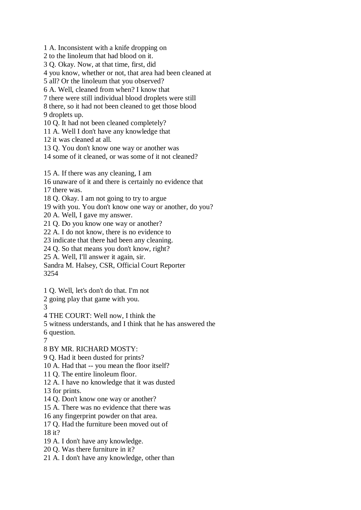1 A. Inconsistent with a knife dropping on

2 to the linoleum that had blood on it.

3 Q. Okay. Now, at that time, first, did

4 you know, whether or not, that area had been cleaned at

5 all? Or the linoleum that you observed?

6 A. Well, cleaned from when? I know that

7 there were still individual blood droplets were still

8 there, so it had not been cleaned to get those blood 9 droplets up.

10 Q. It had not been cleaned completely?

11 A. Well I don't have any knowledge that

12 it was cleaned at all.

13 Q. You don't know one way or another was

14 some of it cleaned, or was some of it not cleaned?

15 A. If there was any cleaning, I am

16 unaware of it and there is certainly no evidence that

17 there was.

18 Q. Okay. I am not going to try to argue

19 with you. You don't know one way or another, do you?

20 A. Well, I gave my answer.

21 Q. Do you know one way or another?

22 A. I do not know, there is no evidence to

23 indicate that there had been any cleaning.

24 Q. So that means you don't know, right?

25 A. Well, I'll answer it again, sir.

Sandra M. Halsey, CSR, Official Court Reporter 3254

1 Q. Well, let's don't do that. I'm not

2 going play that game with you.

3

4 THE COURT: Well now, I think the

5 witness understands, and I think that he has answered the

6 question.

7

8 BY MR. RICHARD MOSTY:

9 Q. Had it been dusted for prints?

10 A. Had that -- you mean the floor itself?

11 Q. The entire linoleum floor.

12 A. I have no knowledge that it was dusted

13 for prints.

14 Q. Don't know one way or another?

15 A. There was no evidence that there was

16 any fingerprint powder on that area.

17 Q. Had the furniture been moved out of 18 it?

19 A. I don't have any knowledge.

- 20 Q. Was there furniture in it?
- 21 A. I don't have any knowledge, other than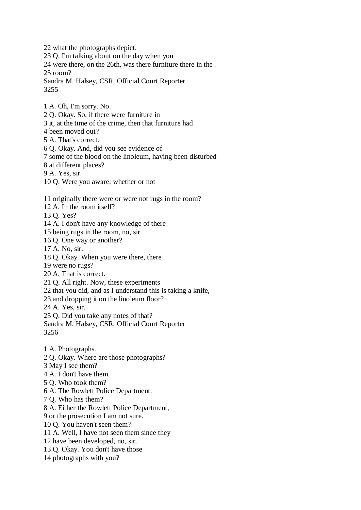22 what the photographs depict. 23 Q. I'm talking about on the day when you 24 were there, on the 26th, was there furniture there in the 25 room? Sandra M. Halsey, CSR, Official Court Reporter 3255 1 A. Oh, I'm sorry. No. 2 Q. Okay. So, if there were furniture in 3 it, at the time of the crime, then that furniture had 4 been moved out? 5 A. That's correct. 6 Q. Okay. And, did you see evidence of 7 some of the blood on the linoleum, having been disturbed 8 at different places? 9 A. Yes, sir. 10 Q. Were you aware, whether or not 11 originally there were or were not rugs in the room? 12 A. In the room itself? 13 Q. Yes? 14 A. I don't have any knowledge of there 15 being rugs in the room, no, sir. 16 Q. One way or another? 17 A. No, sir. 18 Q. Okay. When you were there, there 19 were no rugs? 20 A. That is correct. 21 Q. All right. Now, these experiments 22 that you did, and as I understand this is taking a knife,

23 and dropping it on the linoleum floor?

24 A. Yes, sir.

25 Q. Did you take any notes of that?

Sandra M. Halsey, CSR, Official Court Reporter 3256

1 A. Photographs.

2 Q. Okay. Where are those photographs?

3 May I see them?

4 A. I don't have them.

5 Q. Who took them?

6 A. The Rowlett Police Department.

7 Q. Who has them?

8 A. Either the Rowlett Police Department,

9 or the prosecution I am not sure.

10 Q. You haven't seen them?

11 A. Well, I have not seen them since they

12 have been developed, no, sir.

13 Q. Okay. You don't have those

14 photographs with you?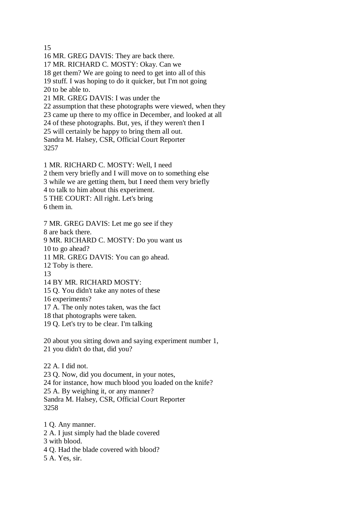15

16 MR. GREG DAVIS: They are back there. 17 MR. RICHARD C. MOSTY: Okay. Can we 18 get them? We are going to need to get into all of this 19 stuff. I was hoping to do it quicker, but I'm not going 20 to be able to. 21 MR. GREG DAVIS: I was under the 22 assumption that these photographs were viewed, when they 23 came up there to my office in December, and looked at all 24 of these photographs. But, yes, if they weren't then I 25 will certainly be happy to bring them all out. Sandra M. Halsey, CSR, Official Court Reporter

3257

1 MR. RICHARD C. MOSTY: Well, I need

2 them very briefly and I will move on to something else

3 while we are getting them, but I need them very briefly

4 to talk to him about this experiment.

5 THE COURT: All right. Let's bring

6 them in.

7 MR. GREG DAVIS: Let me go see if they

8 are back there.

9 MR. RICHARD C. MOSTY: Do you want us

10 to go ahead?

11 MR. GREG DAVIS: You can go ahead.

12 Toby is there.

13

14 BY MR. RICHARD MOSTY:

15 Q. You didn't take any notes of these

16 experiments?

17 A. The only notes taken, was the fact

18 that photographs were taken.

19 Q. Let's try to be clear. I'm talking

20 about you sitting down and saying experiment number 1, 21 you didn't do that, did you?

22 A. I did not. 23 Q. Now, did you document, in your notes, 24 for instance, how much blood you loaded on the knife? 25 A. By weighing it, or any manner? Sandra M. Halsey, CSR, Official Court Reporter 3258

1 Q. Any manner. 2 A. I just simply had the blade covered 3 with blood. 4 Q. Had the blade covered with blood?

5 A. Yes, sir.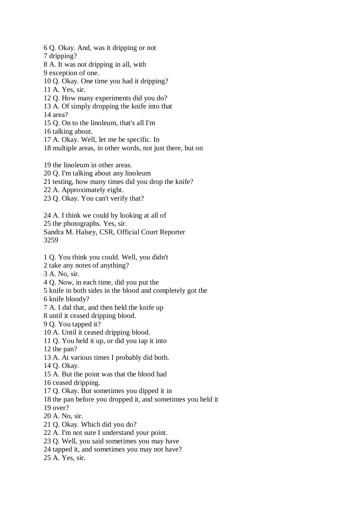6 Q. Okay. And, was it dripping or not 7 dripping? 8 A. It was not dripping in all, with 9 exception of one. 10 Q. Okay. One time you had it dripping? 11 A. Yes, sir. 12 Q. How many experiments did you do? 13 A. Of simply dropping the knife into that 14 area? 15 Q. On to the linoleum, that's all I'm 16 talking about. 17 A. Okay. Well, let me be specific. In 18 multiple areas, in other words, not just there, but on 19 the linoleum in other areas. 20 Q. I'm talking about any linoleum 21 testing, how many times did you drop the knife? 22 A. Approximately eight. 23 Q. Okay. You can't verify that? 24 A. I think we could by looking at all of 25 the photographs. Yes, sir. Sandra M. Halsey, CSR, Official Court Reporter 3259 1 Q. You think you could. Well, you didn't 2 take any notes of anything? 3 A. No, sir. 4 Q. Now, in each time, did you put the 5 knife in both sides in the blood and completely got the 6 knife bloody? 7 A. I did that, and then held the knife up 8 until it ceased dripping blood. 9 Q. You tapped it? 10 A. Until it ceased dripping blood. 11 Q. You held it up, or did you tap it into 12 the pan? 13 A. At various times I probably did both. 14 Q. Okay. 15 A. But the point was that the blood had 16 ceased dripping. 17 Q. Okay. But sometimes you dipped it in 18 the pan before you dropped it, and sometimes you held it 19 over? 20 A. No, sir. 21 Q. Okay. Which did you do? 22 A. I'm not sure I understand your point. 23 Q. Well, you said sometimes you may have 24 tapped it, and sometimes you may not have? 25 A. Yes, sir.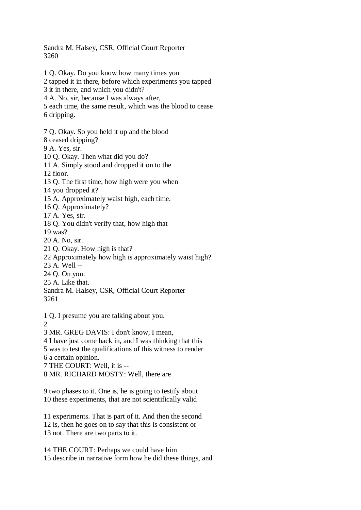Sandra M. Halsey, CSR, Official Court Reporter 3260

1 Q. Okay. Do you know how many times you

2 tapped it in there, before which experiments you tapped

3 it in there, and which you didn't?

4 A. No, sir, because I was always after,

5 each time, the same result, which was the blood to cease 6 dripping.

7 Q. Okay. So you held it up and the blood

8 ceased dripping?

9 A. Yes, sir.

10 Q. Okay. Then what did you do?

11 A. Simply stood and dropped it on to the

12 floor.

13 Q. The first time, how high were you when

14 you dropped it?

15 A. Approximately waist high, each time.

16 Q. Approximately?

17 A. Yes, sir.

18 Q. You didn't verify that, how high that

19 was?

20 A. No, sir.

21 Q. Okay. How high is that?

22 Approximately how high is approximately waist high?

23 A. Well --

24 Q. On you.

25 A. Like that.

Sandra M. Halsey, CSR, Official Court Reporter 3261

1 Q. I presume you are talking about you.

 $\mathcal{D}_{\mathcal{L}}$ 

3 MR. GREG DAVIS: I don't know, I mean,

4 I have just come back in, and I was thinking that this

5 was to test the qualifications of this witness to render 6 a certain opinion.

7 THE COURT: Well, it is --

8 MR. RICHARD MOSTY: Well, there are

9 two phases to it. One is, he is going to testify about 10 these experiments, that are not scientifically valid

11 experiments. That is part of it. And then the second 12 is, then he goes on to say that this is consistent or 13 not. There are two parts to it.

14 THE COURT: Perhaps we could have him 15 describe in narrative form how he did these things, and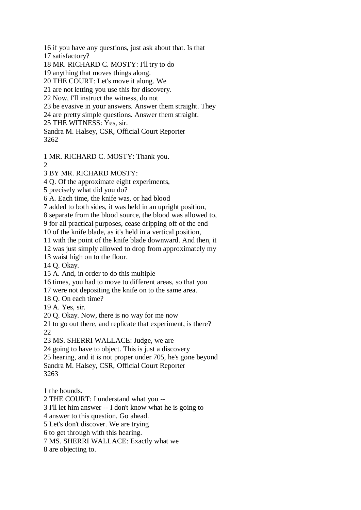16 if you have any questions, just ask about that. Is that

17 satisfactory?

18 MR. RICHARD C. MOSTY: I'll try to do

19 anything that moves things along.

20 THE COURT: Let's move it along. We

21 are not letting you use this for discovery.

22 Now, I'll instruct the witness, do not

23 be evasive in your answers. Answer them straight. They

24 are pretty simple questions. Answer them straight.

25 THE WITNESS: Yes, sir.

Sandra M. Halsey, CSR, Official Court Reporter 3262

1 MR. RICHARD C. MOSTY: Thank you.

 $\mathcal{D}$ 

3 BY MR. RICHARD MOSTY:

4 Q. Of the approximate eight experiments,

5 precisely what did you do?

6 A. Each time, the knife was, or had blood

7 added to both sides, it was held in an upright position,

8 separate from the blood source, the blood was allowed to,

9 for all practical purposes, cease dripping off of the end

10 of the knife blade, as it's held in a vertical position,

11 with the point of the knife blade downward. And then, it

12 was just simply allowed to drop from approximately my

13 waist high on to the floor.

14 Q. Okay.

15 A. And, in order to do this multiple

16 times, you had to move to different areas, so that you

17 were not depositing the knife on to the same area.

18 Q. On each time?

19 A. Yes, sir.

20 Q. Okay. Now, there is no way for me now

21 to go out there, and replicate that experiment, is there? 22

23 MS. SHERRI WALLACE: Judge, we are

24 going to have to object. This is just a discovery

25 hearing, and it is not proper under 705, he's gone beyond

Sandra M. Halsey, CSR, Official Court Reporter

3263

1 the bounds.

2 THE COURT: I understand what you --

3 I'll let him answer -- I don't know what he is going to

4 answer to this question. Go ahead.

5 Let's don't discover. We are trying

6 to get through with this hearing.

7 MS. SHERRI WALLACE: Exactly what we

8 are objecting to.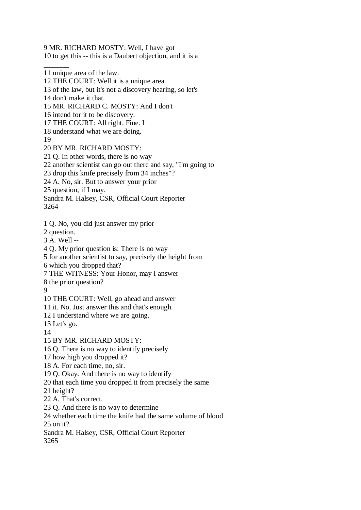9 MR. RICHARD MOSTY: Well, I have got

10 to get this -- this is a Daubert objection, and it is a

12 THE COURT: Well it is a unique area

13 of the law, but it's not a discovery hearing, so let's

14 don't make it that.

 $\overline{\phantom{a}}$ 

15 MR. RICHARD C. MOSTY: And I don't

16 intend for it to be discovery.

17 THE COURT: All right. Fine. I

18 understand what we are doing.

19

20 BY MR. RICHARD MOSTY:

21 Q. In other words, there is no way

22 another scientist can go out there and say, "I'm going to

23 drop this knife precisely from 34 inches"?

24 A. No, sir. But to answer your prior

25 question, if I may.

Sandra M. Halsey, CSR, Official Court Reporter 3264

1 Q. No, you did just answer my prior

2 question.

3 A. Well --

4 Q. My prior question is: There is no way

5 for another scientist to say, precisely the height from

6 which you dropped that?

7 THE WITNESS: Your Honor, may I answer

8 the prior question?

9

10 THE COURT: Well, go ahead and answer

11 it. No. Just answer this and that's enough.

12 I understand where we are going.

13 Let's go.

14

15 BY MR. RICHARD MOSTY:

16 Q. There is no way to identify precisely

17 how high you dropped it?

18 A. For each time, no, sir.

19 Q. Okay. And there is no way to identify

20 that each time you dropped it from precisely the same

21 height?

22 A. That's correct.

23 Q. And there is no way to determine

24 whether each time the knife had the same volume of blood 25 on it?

Sandra M. Halsey, CSR, Official Court Reporter

3265

<sup>11</sup> unique area of the law.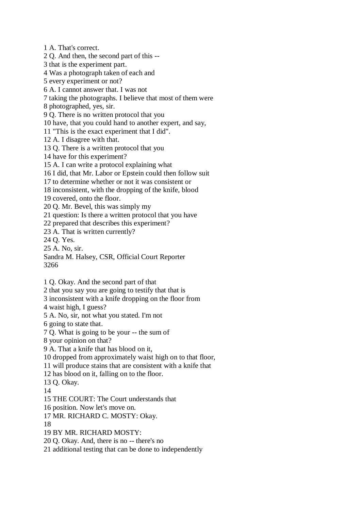1 A. That's correct. 2 Q. And then, the second part of this -- 3 that is the experiment part. 4 Was a photograph taken of each and 5 every experiment or not? 6 A. I cannot answer that. I was not 7 taking the photographs. I believe that most of them were 8 photographed, yes, sir. 9 Q. There is no written protocol that you 10 have, that you could hand to another expert, and say, 11 "This is the exact experiment that I did". 12 A. I disagree with that. 13 Q. There is a written protocol that you 14 have for this experiment? 15 A. I can write a protocol explaining what 16 I did, that Mr. Labor or Epstein could then follow suit 17 to determine whether or not it was consistent or 18 inconsistent, with the dropping of the knife, blood 19 covered, onto the floor. 20 Q. Mr. Bevel, this was simply my 21 question: Is there a written protocol that you have 22 prepared that describes this experiment? 23 A. That is written currently? 24 Q. Yes. 25 A. No, sir. Sandra M. Halsey, CSR, Official Court Reporter 3266 1 Q. Okay. And the second part of that 2 that you say you are going to testify that that is 3 inconsistent with a knife dropping on the floor from 4 waist high, I guess? 5 A. No, sir, not what you stated. I'm not

6 going to state that.

7 Q. What is going to be your -- the sum of

8 your opinion on that?

9 A. That a knife that has blood on it,

10 dropped from approximately waist high on to that floor,

11 will produce stains that are consistent with a knife that

12 has blood on it, falling on to the floor.

13 Q. Okay.

14

15 THE COURT: The Court understands that

16 position. Now let's move on.

17 MR. RICHARD C. MOSTY: Okay.

18

19 BY MR. RICHARD MOSTY:

20 Q. Okay. And, there is no -- there's no

21 additional testing that can be done to independently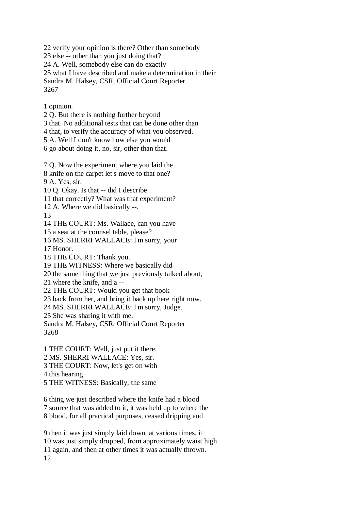22 verify your opinion is there? Other than somebody 23 else -- other than you just doing that? 24 A. Well, somebody else can do exactly 25 what I have described and make a determination in their Sandra M. Halsey, CSR, Official Court Reporter 3267

1 opinion.

2 Q. But there is nothing further beyond

3 that. No additional tests that can be done other than

4 that, to verify the accuracy of what you observed.

5 A. Well I don't know how else you would

6 go about doing it, no, sir, other than that.

7 Q. Now the experiment where you laid the

8 knife on the carpet let's move to that one?

9 A. Yes, sir.

10 Q. Okay. Is that -- did I describe

11 that correctly? What was that experiment?

12 A. Where we did basically --.

13

14 THE COURT: Ms. Wallace, can you have

15 a seat at the counsel table, please?

16 MS. SHERRI WALLACE: I'm sorry, your

17 Honor.

18 THE COURT: Thank you.

19 THE WITNESS: Where we basically did

20 the same thing that we just previously talked about,

21 where the knife, and a --

22 THE COURT: Would you get that book

23 back from her, and bring it back up here right now.

24 MS. SHERRI WALLACE: I'm sorry, Judge.

25 She was sharing it with me.

Sandra M. Halsey, CSR, Official Court Reporter 3268

1 THE COURT: Well, just put it there. 2 MS. SHERRI WALLACE: Yes, sir.

3 THE COURT: Now, let's get on with

4 this hearing.

5 THE WITNESS: Basically, the same

6 thing we just described where the knife had a blood 7 source that was added to it, it was held up to where the 8 blood, for all practical purposes, ceased dripping and

9 then it was just simply laid down, at various times, it 10 was just simply dropped, from approximately waist high 11 again, and then at other times it was actually thrown. 12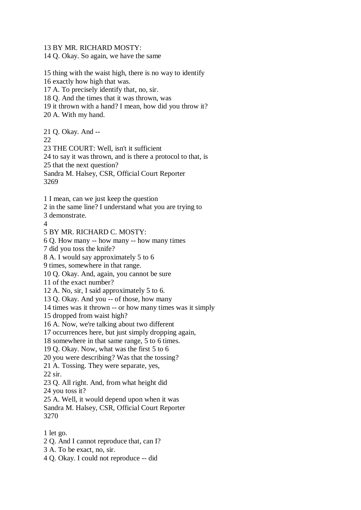13 BY MR. RICHARD MOSTY:

14 Q. Okay. So again, we have the same

15 thing with the waist high, there is no way to identify 16 exactly how high that was. 17 A. To precisely identify that, no, sir. 18 Q. And the times that it was thrown, was 19 it thrown with a hand? I mean, how did you throw it? 20 A. With my hand. 21 Q. Okay. And -- 22 23 THE COURT: Well, isn't it sufficient 24 to say it was thrown, and is there a protocol to that, is 25 that the next question? Sandra M. Halsey, CSR, Official Court Reporter 3269 1 I mean, can we just keep the question 2 in the same line? I understand what you are trying to 3 demonstrate.  $\boldsymbol{\Lambda}$ 5 BY MR. RICHARD C. MOSTY: 6 Q. How many -- how many -- how many times 7 did you toss the knife? 8 A. I would say approximately 5 to 6

9 times, somewhere in that range.

10 Q. Okay. And, again, you cannot be sure

11 of the exact number?

12 A. No, sir, I said approximately 5 to 6.

13 Q. Okay. And you -- of those, how many

14 times was it thrown -- or how many times was it simply

15 dropped from waist high?

16 A. Now, we're talking about two different

17 occurrences here, but just simply dropping again,

18 somewhere in that same range, 5 to 6 times.

19 Q. Okay. Now, what was the first 5 to 6

20 you were describing? Was that the tossing?

21 A. Tossing. They were separate, yes,

22 sir.

23 Q. All right. And, from what height did

24 you toss it?

25 A. Well, it would depend upon when it was

Sandra M. Halsey, CSR, Official Court Reporter 3270

- 1 let go.
- 2 Q. And I cannot reproduce that, can I?
- 3 A. To be exact, no, sir.
- 4 Q. Okay. I could not reproduce -- did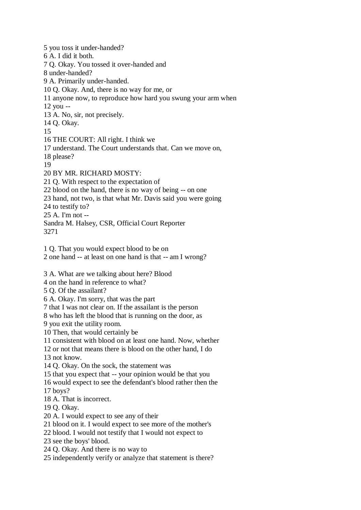5 you toss it under-handed? 6 A. I did it both. 7 Q. Okay. You tossed it over-handed and 8 under-handed? 9 A. Primarily under-handed. 10 Q. Okay. And, there is no way for me, or 11 anyone now, to reproduce how hard you swung your arm when 12 you -- 13 A. No, sir, not precisely. 14 Q. Okay. 15 16 THE COURT: All right. I think we 17 understand. The Court understands that. Can we move on, 18 please? 19 20 BY MR. RICHARD MOSTY: 21 Q. With respect to the expectation of 22 blood on the hand, there is no way of being -- on one 23 hand, not two, is that what Mr. Davis said you were going 24 to testify to? 25 A. I'm not -- Sandra M. Halsey, CSR, Official Court Reporter 3271 1 Q. That you would expect blood to be on 2 one hand -- at least on one hand is that -- am I wrong? 3 A. What are we talking about here? Blood 4 on the hand in reference to what? 5 Q. Of the assailant? 6 A. Okay. I'm sorry, that was the part 7 that I was not clear on. If the assailant is the person 8 who has left the blood that is running on the door, as 9 you exit the utility room. 10 Then, that would certainly be 11 consistent with blood on at least one hand. Now, whether 12 or not that means there is blood on the other hand, I do 13 not know. 14 Q. Okay. On the sock, the statement was 15 that you expect that -- your opinion would be that you 16 would expect to see the defendant's blood rather then the 17 boys? 18 A. That is incorrect. 19 Q. Okay. 20 A. I would expect to see any of their 21 blood on it. I would expect to see more of the mother's 22 blood. I would not testify that I would not expect to 23 see the boys' blood. 24 Q. Okay. And there is no way to

25 independently verify or analyze that statement is there?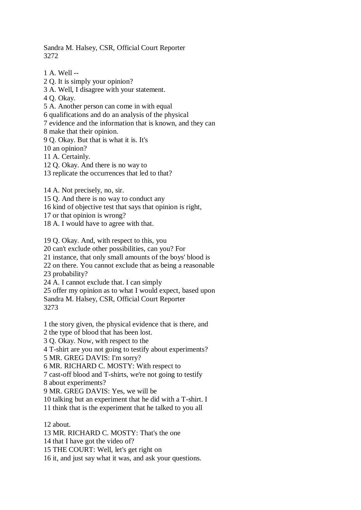Sandra M. Halsey, CSR, Official Court Reporter 3272

1 A. Well -- 2 Q. It is simply your opinion? 3 A. Well, I disagree with your statement. 4 Q. Okay. 5 A. Another person can come in with equal 6 qualifications and do an analysis of the physical 7 evidence and the information that is known, and they can 8 make that their opinion. 9 Q. Okay. But that is what it is. It's 10 an opinion? 11 A. Certainly. 12 Q. Okay. And there is no way to 13 replicate the occurrences that led to that? 14 A. Not precisely, no, sir.

15 Q. And there is no way to conduct any

16 kind of objective test that says that opinion is right,

17 or that opinion is wrong?

18 A. I would have to agree with that.

19 Q. Okay. And, with respect to this, you

20 can't exclude other possibilities, can you? For

21 instance, that only small amounts of the boys' blood is

22 on there. You cannot exclude that as being a reasonable 23 probability?

24 A. I cannot exclude that. I can simply

25 offer my opinion as to what I would expect, based upon Sandra M. Halsey, CSR, Official Court Reporter

3273

1 the story given, the physical evidence that is there, and

2 the type of blood that has been lost. 3 Q. Okay. Now, with respect to the

4 T-shirt are you not going to testify about experiments?

5 MR. GREG DAVIS: I'm sorry?

6 MR. RICHARD C. MOSTY: With respect to

7 cast-off blood and T-shirts, we're not going to testify 8 about experiments?

9 MR. GREG DAVIS: Yes, we will be

10 talking but an experiment that he did with a T-shirt. I

11 think that is the experiment that he talked to you all

12 about.

13 MR. RICHARD C. MOSTY: That's the one

14 that I have got the video of?

15 THE COURT: Well, let's get right on

16 it, and just say what it was, and ask your questions.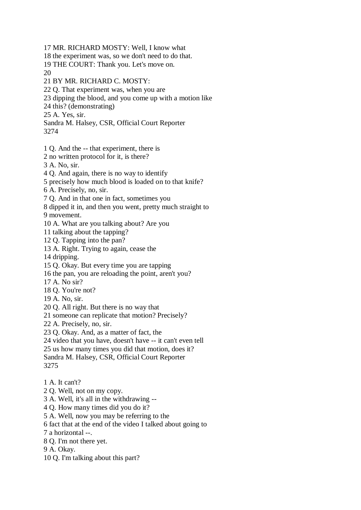17 MR. RICHARD MOSTY: Well, I know what 18 the experiment was, so we don't need to do that. 19 THE COURT: Thank you. Let's move on. 20 21 BY MR. RICHARD C. MOSTY: 22 Q. That experiment was, when you are 23 dipping the blood, and you come up with a motion like 24 this? (demonstrating) 25 A. Yes, sir. Sandra M. Halsey, CSR, Official Court Reporter 3274 1 Q. And the -- that experiment, there is 2 no written protocol for it, is there? 3 A. No, sir. 4 Q. And again, there is no way to identify

5 precisely how much blood is loaded on to that knife?

6 A. Precisely, no, sir.

7 Q. And in that one in fact, sometimes you

8 dipped it in, and then you went, pretty much straight to

9 movement.

10 A. What are you talking about? Are you

11 talking about the tapping?

12 Q. Tapping into the pan?

13 A. Right. Trying to again, cease the

14 dripping.

15 Q. Okay. But every time you are tapping

16 the pan, you are reloading the point, aren't you?

17 A. No sir?

18 Q. You're not?

19 A. No, sir.

20 Q. All right. But there is no way that

21 someone can replicate that motion? Precisely?

22 A. Precisely, no, sir.

23 Q. Okay. And, as a matter of fact, the

24 video that you have, doesn't have -- it can't even tell

25 us how many times you did that motion, does it?

Sandra M. Halsey, CSR, Official Court Reporter 3275

1 A. It can't?

2 Q. Well, not on my copy.

3 A. Well, it's all in the withdrawing --

4 Q. How many times did you do it?

5 A. Well, now you may be referring to the

6 fact that at the end of the video I talked about going to

7 a horizontal --.

8 Q. I'm not there yet.

9 A. Okay.

10 Q. I'm talking about this part?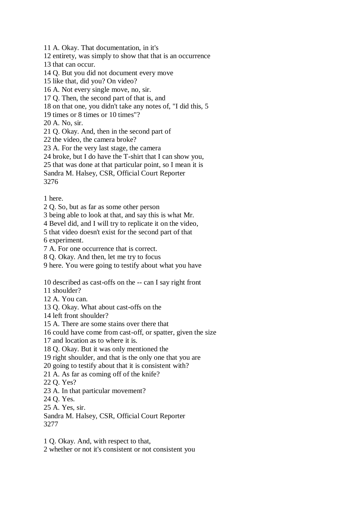11 A. Okay. That documentation, in it's

12 entirety, was simply to show that that is an occurrence

13 that can occur.

14 Q. But you did not document every move

15 like that, did you? On video?

16 A. Not every single move, no, sir.

17 Q. Then, the second part of that is, and

18 on that one, you didn't take any notes of, "I did this, 5

19 times or 8 times or 10 times"?

20 A. No, sir.

21 Q. Okay. And, then in the second part of

22 the video, the camera broke?

23 A. For the very last stage, the camera

24 broke, but I do have the T-shirt that I can show you,

25 that was done at that particular point, so I mean it is

Sandra M. Halsey, CSR, Official Court Reporter

3276

1 here.

2 Q. So, but as far as some other person

3 being able to look at that, and say this is what Mr.

4 Bevel did, and I will try to replicate it on the video,

5 that video doesn't exist for the second part of that

6 experiment.

7 A. For one occurrence that is correct.

8 Q. Okay. And then, let me try to focus

9 here. You were going to testify about what you have

10 described as cast-offs on the -- can I say right front

11 shoulder?

12 A. You can.

13 Q. Okay. What about cast-offs on the

14 left front shoulder?

15 A. There are some stains over there that

16 could have come from cast-off, or spatter, given the size

17 and location as to where it is.

18 Q. Okay. But it was only mentioned the

19 right shoulder, and that is the only one that you are

20 going to testify about that it is consistent with?

21 A. As far as coming off of the knife?

22 Q. Yes?

23 A. In that particular movement?

24 Q. Yes.

25 A. Yes, sir.

Sandra M. Halsey, CSR, Official Court Reporter 3277

1 Q. Okay. And, with respect to that,

2 whether or not it's consistent or not consistent you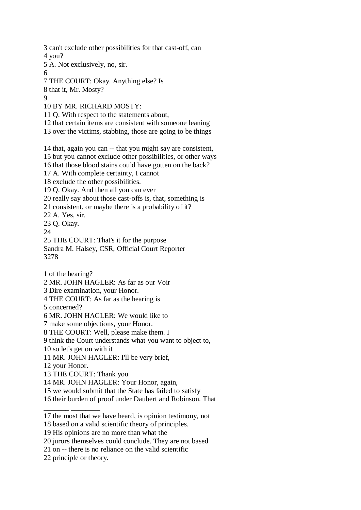3 can't exclude other possibilities for that cast-off, can 4 you? 5 A. Not exclusively, no, sir. 6 7 THE COURT: Okay. Anything else? Is 8 that it, Mr. Mosty?  $\overline{Q}$ 10 BY MR. RICHARD MOSTY: 11 Q. With respect to the statements about, 12 that certain items are consistent with someone leaning 13 over the victims, stabbing, those are going to be things 14 that, again you can -- that you might say are consistent, 15 but you cannot exclude other possibilities, or other ways 16 that those blood stains could have gotten on the back? 17 A. With complete certainty, I cannot 18 exclude the other possibilities. 19 Q. Okay. And then all you can ever 20 really say about those cast-offs is, that, something is 21 consistent, or maybe there is a probability of it? 22 A. Yes, sir. 23 Q. Okay. 24 25 THE COURT: That's it for the purpose Sandra M. Halsey, CSR, Official Court Reporter 3278 1 of the hearing? 2 MR. JOHN HAGLER: As far as our Voir 3 Dire examination, your Honor. 4 THE COURT: As far as the hearing is 5 concerned? 6 MR. JOHN HAGLER: We would like to 7 make some objections, your Honor. 8 THE COURT: Well, please make them. I 9 think the Court understands what you want to object to, 10 so let's get on with it 11 MR. JOHN HAGLER: I'll be very brief, 12 your Honor. 13 THE COURT: Thank you 14 MR. JOHN HAGLER: Your Honor, again, 15 we would submit that the State has failed to satisfy 16 their burden of proof under Daubert and Robinson. That \_\_\_\_\_\_\_ \_\_\_\_\_\_\_\_ 17 the most that we have heard, is opinion testimony, not

<sup>18</sup> based on a valid scientific theory of principles.

<sup>19</sup> His opinions are no more than what the

<sup>20</sup> jurors themselves could conclude. They are not based

<sup>21</sup> on -- there is no reliance on the valid scientific

<sup>22</sup> principle or theory.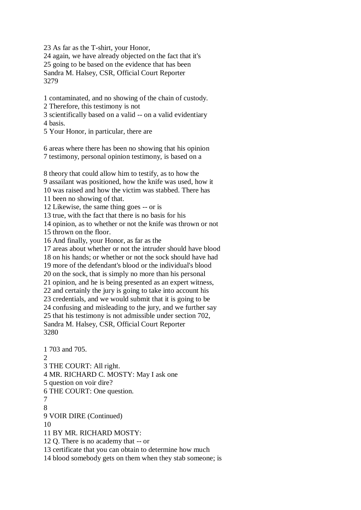23 As far as the T-shirt, your Honor,

24 again, we have already objected on the fact that it's 25 going to be based on the evidence that has been Sandra M. Halsey, CSR, Official Court Reporter 3279

1 contaminated, and no showing of the chain of custody.

2 Therefore, this testimony is not

3 scientifically based on a valid -- on a valid evidentiary 4 basis.

5 Your Honor, in particular, there are

6 areas where there has been no showing that his opinion 7 testimony, personal opinion testimony, is based on a

8 theory that could allow him to testify, as to how the 9 assailant was positioned, how the knife was used, how it 10 was raised and how the victim was stabbed. There has 11 been no showing of that. 12 Likewise, the same thing goes -- or is 13 true, with the fact that there is no basis for his 14 opinion, as to whether or not the knife was thrown or not 15 thrown on the floor. 16 And finally, your Honor, as far as the 17 areas about whether or not the intruder should have blood 18 on his hands; or whether or not the sock should have had 19 more of the defendant's blood or the individual's blood 20 on the sock, that is simply no more than his personal 21 opinion, and he is being presented as an expert witness, 22 and certainly the jury is going to take into account his 23 credentials, and we would submit that it is going to be 24 confusing and misleading to the jury, and we further say 25 that his testimony is not admissible under section 702, Sandra M. Halsey, CSR, Official Court Reporter 3280 1 703 and 705.

 $\mathcal{D}$ 3 THE COURT: All right. 4 MR. RICHARD C. MOSTY: May I ask one 5 question on voir dire? 6 THE COURT: One question. 7 8 9 VOIR DIRE (Continued) 10 11 BY MR. RICHARD MOSTY: 12 Q. There is no academy that -- or 13 certificate that you can obtain to determine how much 14 blood somebody gets on them when they stab someone; is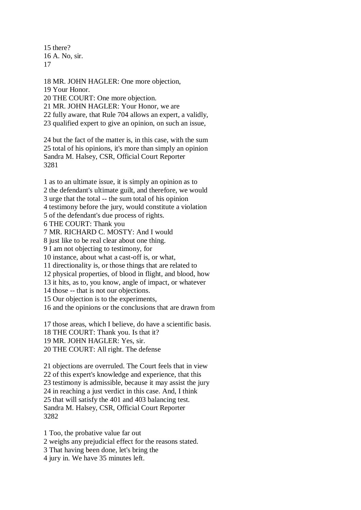15 there? 16 A. No, sir. 17

18 MR. JOHN HAGLER: One more objection, 19 Your Honor. 20 THE COURT: One more objection. 21 MR. JOHN HAGLER: Your Honor, we are 22 fully aware, that Rule 704 allows an expert, a validly, 23 qualified expert to give an opinion, on such an issue, 24 but the fact of the matter is, in this case, with the sum

25 total of his opinions, it's more than simply an opinion Sandra M. Halsey, CSR, Official Court Reporter 3281

1 as to an ultimate issue, it is simply an opinion as to 2 the defendant's ultimate guilt, and therefore, we would 3 urge that the total -- the sum total of his opinion 4 testimony before the jury, would constitute a violation 5 of the defendant's due process of rights. 6 THE COURT: Thank you 7 MR. RICHARD C. MOSTY: And I would

8 just like to be real clear about one thing.

9 I am not objecting to testimony, for

10 instance, about what a cast-off is, or what,

11 directionality is, or those things that are related to

12 physical properties, of blood in flight, and blood, how

13 it hits, as to, you know, angle of impact, or whatever

14 those -- that is not our objections.

15 Our objection is to the experiments,

16 and the opinions or the conclusions that are drawn from

17 those areas, which I believe, do have a scientific basis.

18 THE COURT: Thank you. Is that it?

19 MR. JOHN HAGLER: Yes, sir.

20 THE COURT: All right. The defense

21 objections are overruled. The Court feels that in view 22 of this expert's knowledge and experience, that this 23 testimony is admissible, because it may assist the jury 24 in reaching a just verdict in this case. And, I think 25 that will satisfy the 401 and 403 balancing test. Sandra M. Halsey, CSR, Official Court Reporter 3282

1 Too, the probative value far out

2 weighs any prejudicial effect for the reasons stated.

3 That having been done, let's bring the

4 jury in. We have 35 minutes left.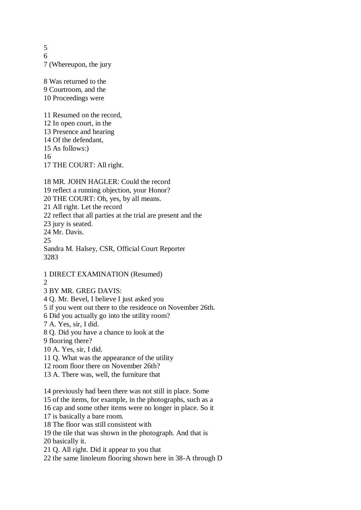5 6 7 (Whereupon, the jury

8 Was returned to the 9 Courtroom, and the 10 Proceedings were

11 Resumed on the record,

- 12 In open court, in the 13 Presence and hearing
- 14 Of the defendant,

15 As follows:)

16

17 THE COURT: All right.

18 MR. JOHN HAGLER: Could the record 19 reflect a running objection, your Honor? 20 THE COURT: Oh, yes, by all means. 21 All right. Let the record 22 reflect that all parties at the trial are present and the 23 jury is seated. 24 Mr. Davis. 25 Sandra M. Halsey, CSR, Official Court Reporter 3283

1 DIRECT EXAMINATION (Resumed) 2

3 BY MR. GREG DAVIS:

4 Q. Mr. Bevel, I believe I just asked you

5 if you went out there to the residence on November 26th.

6 Did you actually go into the utility room?

7 A. Yes, sir, I did.

8 Q. Did you have a chance to look at the

9 flooring there?

10 A. Yes, sir, I did.

11 Q. What was the appearance of the utility

12 room floor there on November 26th?

13 A. There was, well, the furniture that

14 previously had been there was not still in place. Some

15 of the items, for example, in the photographs, such as a

16 cap and some other items were no longer in place. So it

17 is basically a bare room.

18 The floor was still consistent with

19 the tile that was shown in the photograph. And that is

20 basically it.

21 Q. All right. Did it appear to you that

22 the same linoleum flooring shown here in 38-A through D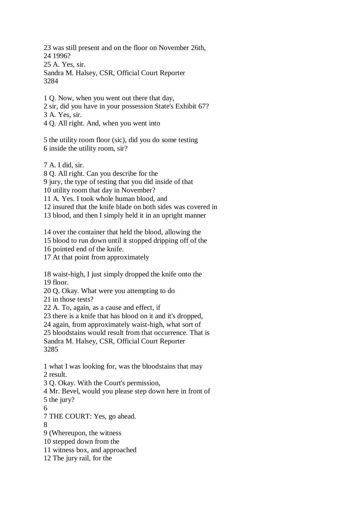23 was still present and on the floor on November 26th, 24 1996? 25 A. Yes, sir. Sandra M. Halsey, CSR, Official Court Reporter 3284

1 Q. Now, when you went out there that day, 2 sir, did you have in your possession State's Exhibit 67? 3 A. Yes, sir. 4 Q. All right. And, when you went into

5 the utility room floor (sic), did you do some testing 6 inside the utility room, sir?

7 A. I did, sir.

8 Q. All right. Can you describe for the

9 jury, the type of testing that you did inside of that

10 utility room that day in November?

11 A. Yes. I took whole human blood, and

12 insured that the knife blade on both sides was covered in

13 blood, and then I simply held it in an upright manner

14 over the container that held the blood, allowing the

15 blood to run down until it stopped dripping off of the

16 pointed end of the knife.

17 At that point from approximately

18 waist-high, I just simply dropped the knife onto the 19 floor.

20 Q. Okay. What were you attempting to do

21 in those tests?

22 A. To, again, as a cause and effect, if

23 there is a knife that has blood on it and it's dropped,

24 again, from approximately waist-high, what sort of

25 bloodstains would result from that occurrence. That is Sandra M. Halsey, CSR, Official Court Reporter

3285

1 what I was looking for, was the bloodstains that may 2 result.

3 Q. Okay. With the Court's permission,

4 Mr. Bevel, would you please step down here in front of 5 the jury?

6

7 THE COURT: Yes, go ahead.

8

9 (Whereupon, the witness

10 stepped down from the

11 witness box, and approached

12 The jury rail, for the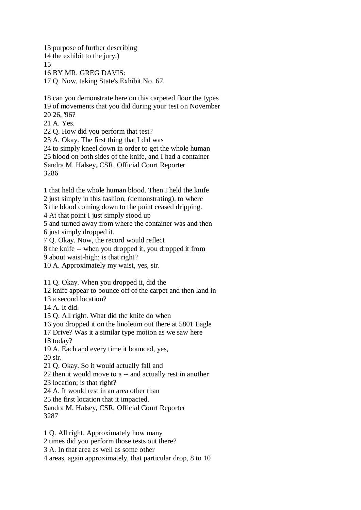13 purpose of further describing 14 the exhibit to the jury.) 15 16 BY MR. GREG DAVIS: 17 Q. Now, taking State's Exhibit No. 67,

18 can you demonstrate here on this carpeted floor the types 19 of movements that you did during your test on November 20 26, '96?

21 A. Yes.

22 Q. How did you perform that test?

23 A. Okay. The first thing that I did was

24 to simply kneel down in order to get the whole human 25 blood on both sides of the knife, and I had a container

Sandra M. Halsey, CSR, Official Court Reporter

3286

1 that held the whole human blood. Then I held the knife

2 just simply in this fashion, (demonstrating), to where

3 the blood coming down to the point ceased dripping.

4 At that point I just simply stood up

5 and turned away from where the container was and then 6 just simply dropped it.

7 Q. Okay. Now, the record would reflect

8 the knife -- when you dropped it, you dropped it from

9 about waist-high; is that right?

10 A. Approximately my waist, yes, sir.

11 Q. Okay. When you dropped it, did the

12 knife appear to bounce off of the carpet and then land in

13 a second location?

14 A. It did.

15 Q. All right. What did the knife do when

16 you dropped it on the linoleum out there at 5801 Eagle

17 Drive? Was it a similar type motion as we saw here

18 today?

19 A. Each and every time it bounced, yes,

20 sir.

21 Q. Okay. So it would actually fall and

22 then it would move to a -- and actually rest in another

23 location; is that right?

24 A. It would rest in an area other than

25 the first location that it impacted.

Sandra M. Halsey, CSR, Official Court Reporter 3287

1 Q. All right. Approximately how many

2 times did you perform those tests out there?

3 A. In that area as well as some other

4 areas, again approximately, that particular drop, 8 to 10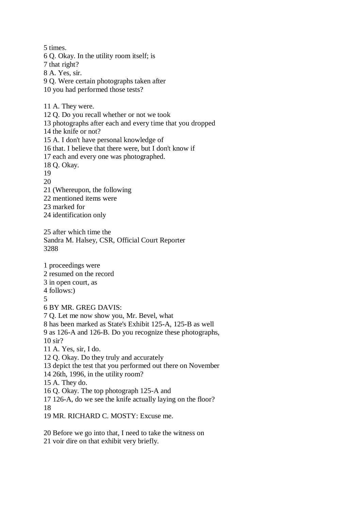5 times. 6 Q. Okay. In the utility room itself; is 7 that right? 8 A. Yes, sir. 9 Q. Were certain photographs taken after 10 you had performed those tests? 11 A. They were. 12 Q. Do you recall whether or not we took 13 photographs after each and every time that you dropped 14 the knife or not? 15 A. I don't have personal knowledge of 16 that. I believe that there were, but I don't know if 17 each and every one was photographed. 18 Q. Okay. 19 20 21 (Whereupon, the following 22 mentioned items were 23 marked for 24 identification only 25 after which time the Sandra M. Halsey, CSR, Official Court Reporter 3288 1 proceedings were 2 resumed on the record 3 in open court, as 4 follows:) 5 6 BY MR. GREG DAVIS: 7 Q. Let me now show you, Mr. Bevel, what 8 has been marked as State's Exhibit 125-A, 125-B as well 9 as 126-A and 126-B. Do you recognize these photographs, 10 sir? 11 A. Yes, sir, I do. 12 Q. Okay. Do they truly and accurately 13 depict the test that you performed out there on November 14 26th, 1996, in the utility room? 15 A. They do. 16 Q. Okay. The top photograph 125-A and 17 126-A, do we see the knife actually laying on the floor? 18 19 MR. RICHARD C. MOSTY: Excuse me.

20 Before we go into that, I need to take the witness on 21 voir dire on that exhibit very briefly.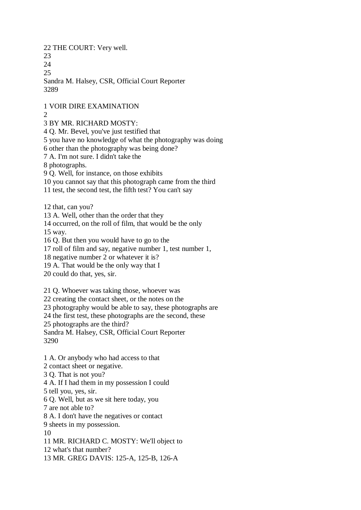22 THE COURT: Very well.

23

 $24$ 

25

Sandra M. Halsey, CSR, Official Court Reporter 3289

1 VOIR DIRE EXAMINATION

 $\mathcal{D}$ 

3 BY MR. RICHARD MOSTY:

4 Q. Mr. Bevel, you've just testified that

5 you have no knowledge of what the photography was doing

6 other than the photography was being done?

7 A. I'm not sure. I didn't take the

8 photographs.

9 Q. Well, for instance, on those exhibits

10 you cannot say that this photograph came from the third

11 test, the second test, the fifth test? You can't say

12 that, can you?

13 A. Well, other than the order that they

14 occurred, on the roll of film, that would be the only 15 way.

16 Q. But then you would have to go to the

17 roll of film and say, negative number 1, test number 1,

18 negative number 2 or whatever it is?

19 A. That would be the only way that I

20 could do that, yes, sir.

21 Q. Whoever was taking those, whoever was

22 creating the contact sheet, or the notes on the

23 photography would be able to say, these photographs are

24 the first test, these photographs are the second, these

25 photographs are the third?

Sandra M. Halsey, CSR, Official Court Reporter 3290

1 A. Or anybody who had access to that 2 contact sheet or negative. 3 Q. That is not you? 4 A. If I had them in my possession I could 5 tell you, yes, sir. 6 Q. Well, but as we sit here today, you 7 are not able to? 8 A. I don't have the negatives or contact 9 sheets in my possession. 10 11 MR. RICHARD C. MOSTY: We'll object to 12 what's that number? 13 MR. GREG DAVIS: 125-A, 125-B, 126-A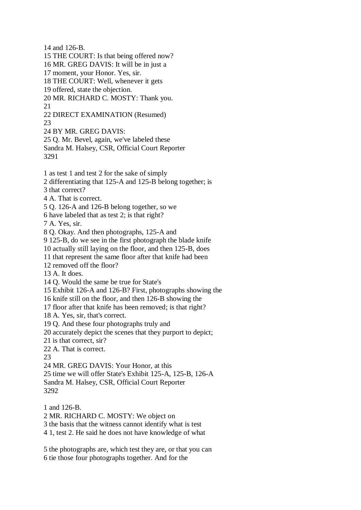14 and 126-B.

15 THE COURT: Is that being offered now?

16 MR. GREG DAVIS: It will be in just a

17 moment, your Honor. Yes, sir.

18 THE COURT: Well, whenever it gets

19 offered, state the objection.

20 MR. RICHARD C. MOSTY: Thank you. 21

22 DIRECT EXAMINATION (Resumed) 23

24 BY MR. GREG DAVIS:

25 Q. Mr. Bevel, again, we've labeled these Sandra M. Halsey, CSR, Official Court Reporter

3291

1 as test 1 and test 2 for the sake of simply

2 differentiating that 125-A and 125-B belong together; is

3 that correct?

4 A. That is correct.

5 Q. 126-A and 126-B belong together, so we

6 have labeled that as test 2; is that right?

7 A. Yes, sir.

8 Q. Okay. And then photographs, 125-A and

9 125-B, do we see in the first photograph the blade knife

10 actually still laying on the floor, and then 125-B, does

11 that represent the same floor after that knife had been

12 removed off the floor?

13 A. It does.

14 Q. Would the same be true for State's

15 Exhibit 126-A and 126-B? First, photographs showing the

16 knife still on the floor, and then 126-B showing the

17 floor after that knife has been removed; is that right?

18 A. Yes, sir, that's correct.

19 Q. And these four photographs truly and

20 accurately depict the scenes that they purport to depict;

21 is that correct, sir?

22 A. That is correct.

 $23$ 

24 MR. GREG DAVIS: Your Honor, at this

25 time we will offer State's Exhibit 125-A, 125-B, 126-A

Sandra M. Halsey, CSR, Official Court Reporter 3292

1 and 126-B. 2 MR. RICHARD C. MOSTY: We object on

3 the basis that the witness cannot identify what is test

4 1, test 2. He said he does not have knowledge of what

5 the photographs are, which test they are, or that you can 6 tie those four photographs together. And for the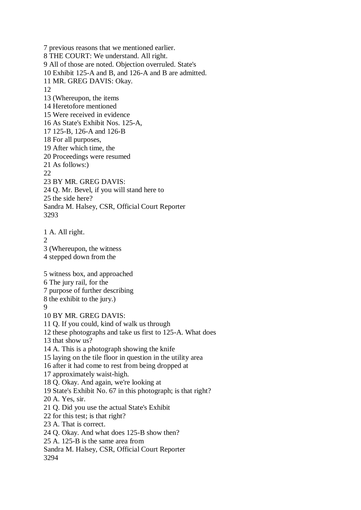7 previous reasons that we mentioned earlier. 8 THE COURT: We understand. All right. 9 All of those are noted. Objection overruled. State's 10 Exhibit 125-A and B, and 126-A and B are admitted. 11 MR. GREG DAVIS: Okay. 12 13 (Whereupon, the items 14 Heretofore mentioned 15 Were received in evidence 16 As State's Exhibit Nos. 125-A, 17 125-B, 126-A and 126-B 18 For all purposes, 19 After which time, the 20 Proceedings were resumed 21 As follows:) 22 23 BY MR. GREG DAVIS: 24 Q. Mr. Bevel, if you will stand here to 25 the side here? Sandra M. Halsey, CSR, Official Court Reporter 3293 1 A. All right.  $\mathcal{D}$ 3 (Whereupon, the witness 4 stepped down from the 5 witness box, and approached 6 The jury rail, for the 7 purpose of further describing 8 the exhibit to the jury.) 9 10 BY MR. GREG DAVIS: 11 Q. If you could, kind of walk us through 12 these photographs and take us first to 125-A. What does 13 that show us? 14 A. This is a photograph showing the knife 15 laying on the tile floor in question in the utility area 16 after it had come to rest from being dropped at 17 approximately waist-high. 18 Q. Okay. And again, we're looking at 19 State's Exhibit No. 67 in this photograph; is that right? 20 A. Yes, sir. 21 Q. Did you use the actual State's Exhibit 22 for this test; is that right? 23 A. That is correct. 24 Q. Okay. And what does 125-B show then? 25 A. 125-B is the same area from Sandra M. Halsey, CSR, Official Court Reporter 3294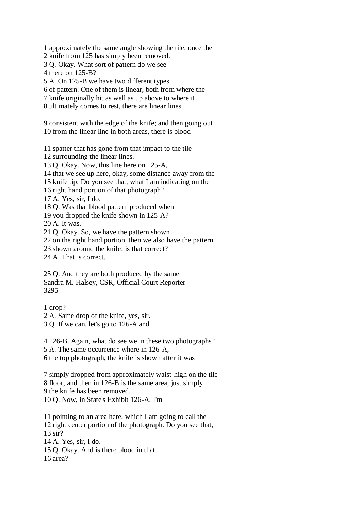1 approximately the same angle showing the tile, once the

2 knife from 125 has simply been removed.

3 Q. Okay. What sort of pattern do we see

4 there on 125-B?

5 A. On 125-B we have two different types

6 of pattern. One of them is linear, both from where the

- 7 knife originally hit as well as up above to where it
- 8 ultimately comes to rest, there are linear lines

9 consistent with the edge of the knife; and then going out 10 from the linear line in both areas, there is blood

11 spatter that has gone from that impact to the tile

12 surrounding the linear lines.

13 Q. Okay. Now, this line here on 125-A,

14 that we see up here, okay, some distance away from the

15 knife tip. Do you see that, what I am indicating on the

16 right hand portion of that photograph?

17 A. Yes, sir, I do.

18 Q. Was that blood pattern produced when

19 you dropped the knife shown in 125-A?

20 A. It was.

21 Q. Okay. So, we have the pattern shown

22 on the right hand portion, then we also have the pattern

23 shown around the knife; is that correct?

24 A. That is correct.

25 Q. And they are both produced by the same Sandra M. Halsey, CSR, Official Court Reporter 3295

1 drop?

2 A. Same drop of the knife, yes, sir.

3 Q. If we can, let's go to 126-A and

4 126-B. Again, what do see we in these two photographs?

5 A. The same occurrence where in 126-A,

6 the top photograph, the knife is shown after it was

7 simply dropped from approximately waist-high on the tile 8 floor, and then in 126-B is the same area, just simply 9 the knife has been removed. 10 Q. Now, in State's Exhibit 126-A, I'm

11 pointing to an area here, which I am going to call the 12 right center portion of the photograph. Do you see that, 13 sir? 14 A. Yes, sir, I do. 15 Q. Okay. And is there blood in that 16 area?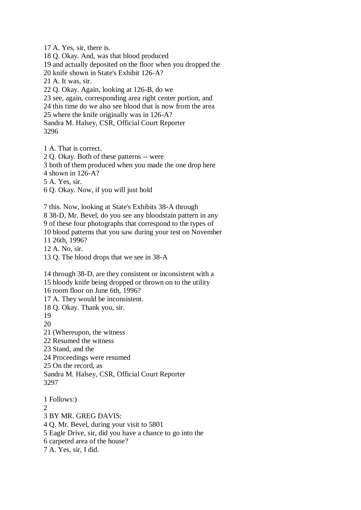17 A. Yes, sir, there is. 18 Q. Okay. And, was that blood produced 19 and actually deposited on the floor when you dropped the 20 knife shown in State's Exhibit 126-A? 21 A. It was, sir. 22 Q. Okay. Again, looking at 126-B, do we 23 see, again, corresponding area right center portion, and 24 this time do we also see blood that is now from the area 25 where the knife originally was in 126-A? Sandra M. Halsey, CSR, Official Court Reporter 3296 1 A. That is correct.

2 Q. Okay. Both of these patterns -- were 3 both of them produced when you made the one drop here 4 shown in 126-A? 5 A. Yes, sir. 6 Q. Okay. Now, if you will just hold 7 this. Now, looking at State's Exhibits 38-A through

8 38-D, Mr. Bevel, do you see any bloodstain pattern in any 9 of these four photographs that correspond to the types of 10 blood patterns that you saw during your test on November 11 26th, 1996? 12 A. No, sir.

13 Q. The blood drops that we see in 38-A

14 through 38-D, are they consistent or inconsistent with a 15 bloody knife being dropped or thrown on to the utility 16 room floor on June 6th, 1996? 17 A. They would be inconsistent. 18 Q. Okay. Thank you, sir. 19 20 21 (Whereupon, the witness 22 Resumed the witness 23 Stand, and the 24 Proceedings were resumed 25 On the record, as Sandra M. Halsey, CSR, Official Court Reporter 3297 1 Follows:)  $\mathcal{D}_{\alpha}$ 3 BY MR. GREG DAVIS: 4 Q. Mr. Bevel, during your visit to 5801 5 Eagle Drive, sir, did you have a chance to go into the 6 carpeted area of the house? 7 A. Yes, sir, I did.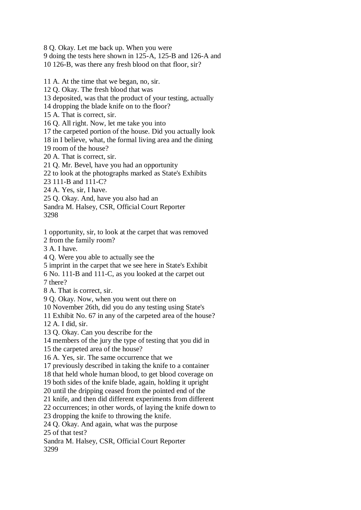8 Q. Okay. Let me back up. When you were 9 doing the tests here shown in 125-A, 125-B and 126-A and 10 126-B, was there any fresh blood on that floor, sir?

11 A. At the time that we began, no, sir. 12 Q. Okay. The fresh blood that was 13 deposited, was that the product of your testing, actually 14 dropping the blade knife on to the floor? 15 A. That is correct, sir. 16 Q. All right. Now, let me take you into 17 the carpeted portion of the house. Did you actually look 18 in I believe, what, the formal living area and the dining 19 room of the house? 20 A. That is correct, sir. 21 Q. Mr. Bevel, have you had an opportunity 22 to look at the photographs marked as State's Exhibits 23 111-B and 111-C? 24 A. Yes, sir, I have. 25 Q. Okay. And, have you also had an Sandra M. Halsey, CSR, Official Court Reporter 3298 1 opportunity, sir, to look at the carpet that was removed 2 from the family room? 3 A. I have. 4 Q. Were you able to actually see the 5 imprint in the carpet that we see here in State's Exhibit 6 No. 111-B and 111-C, as you looked at the carpet out 7 there? 8 A. That is correct, sir. 9 Q. Okay. Now, when you went out there on 10 November 26th, did you do any testing using State's 11 Exhibit No. 67 in any of the carpeted area of the house? 12 A. I did, sir. 13 Q. Okay. Can you describe for the 14 members of the jury the type of testing that you did in 15 the carpeted area of the house? 16 A. Yes, sir. The same occurrence that we 17 previously described in taking the knife to a container 18 that held whole human blood, to get blood coverage on 19 both sides of the knife blade, again, holding it upright 20 until the dripping ceased from the pointed end of the

21 knife, and then did different experiments from different

22 occurrences; in other words, of laying the knife down to

23 dropping the knife to throwing the knife.

24 Q. Okay. And again, what was the purpose

25 of that test?

Sandra M. Halsey, CSR, Official Court Reporter 3299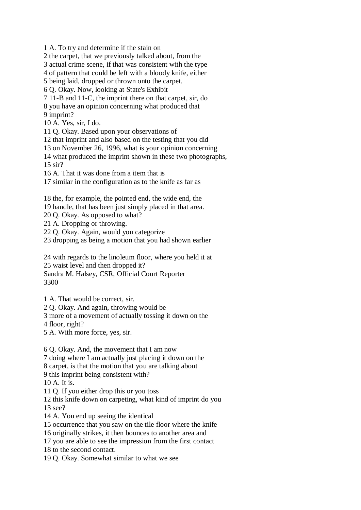1 A. To try and determine if the stain on

2 the carpet, that we previously talked about, from the

3 actual crime scene, if that was consistent with the type

4 of pattern that could be left with a bloody knife, either

5 being laid, dropped or thrown onto the carpet.

6 Q. Okay. Now, looking at State's Exhibit

7 11-B and 11-C, the imprint there on that carpet, sir, do 8 you have an opinion concerning what produced that 9 imprint?

10 A. Yes, sir, I do.

11 Q. Okay. Based upon your observations of

12 that imprint and also based on the testing that you did

13 on November 26, 1996, what is your opinion concerning

14 what produced the imprint shown in these two photographs, 15 sir?

16 A. That it was done from a item that is

17 similar in the configuration as to the knife as far as

18 the, for example, the pointed end, the wide end, the

19 handle, that has been just simply placed in that area.

20 Q. Okay. As opposed to what?

21 A. Dropping or throwing.

22 Q. Okay. Again, would you categorize

23 dropping as being a motion that you had shown earlier

24 with regards to the linoleum floor, where you held it at 25 waist level and then dropped it?

Sandra M. Halsey, CSR, Official Court Reporter 3300

1 A. That would be correct, sir.

2 Q. Okay. And again, throwing would be

3 more of a movement of actually tossing it down on the

4 floor, right?

5 A. With more force, yes, sir.

6 Q. Okay. And, the movement that I am now

7 doing where I am actually just placing it down on the

8 carpet, is that the motion that you are talking about

9 this imprint being consistent with?

10 A. It is.

11 Q. If you either drop this or you toss

12 this knife down on carpeting, what kind of imprint do you 13 see?

14 A. You end up seeing the identical

15 occurrence that you saw on the tile floor where the knife

16 originally strikes, it then bounces to another area and

17 you are able to see the impression from the first contact 18 to the second contact.

19 Q. Okay. Somewhat similar to what we see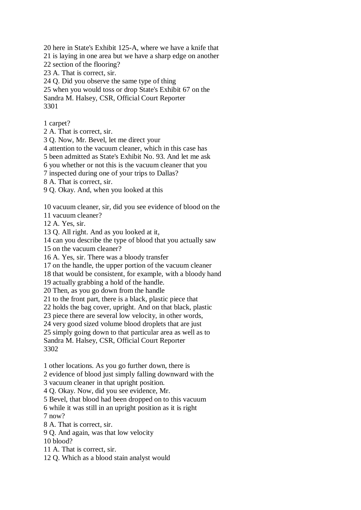20 here in State's Exhibit 125-A, where we have a knife that 21 is laying in one area but we have a sharp edge on another 22 section of the flooring? 23 A. That is correct, sir. 24 Q. Did you observe the same type of thing 25 when you would toss or drop State's Exhibit 67 on the

Sandra M. Halsey, CSR, Official Court Reporter 3301

1 carpet?

2 A. That is correct, sir.

3 Q. Now, Mr. Bevel, let me direct your

4 attention to the vacuum cleaner, which in this case has

5 been admitted as State's Exhibit No. 93. And let me ask

6 you whether or not this is the vacuum cleaner that you

7 inspected during one of your trips to Dallas?

8 A. That is correct, sir.

9 Q. Okay. And, when you looked at this

10 vacuum cleaner, sir, did you see evidence of blood on the

11 vacuum cleaner?

12 A. Yes, sir.

13 Q. All right. And as you looked at it,

14 can you describe the type of blood that you actually saw

15 on the vacuum cleaner?

16 A. Yes, sir. There was a bloody transfer

17 on the handle, the upper portion of the vacuum cleaner

18 that would be consistent, for example, with a bloody hand

19 actually grabbing a hold of the handle.

20 Then, as you go down from the handle

21 to the front part, there is a black, plastic piece that

22 holds the bag cover, upright. And on that black, plastic

23 piece there are several low velocity, in other words,

24 very good sized volume blood droplets that are just

25 simply going down to that particular area as well as to

Sandra M. Halsey, CSR, Official Court Reporter 3302

1 other locations. As you go further down, there is

2 evidence of blood just simply falling downward with the

3 vacuum cleaner in that upright position.

4 Q. Okay. Now, did you see evidence, Mr.

5 Bevel, that blood had been dropped on to this vacuum

6 while it was still in an upright position as it is right  $7 \text{ now}$ ?

8 A. That is correct, sir.

9 Q. And again, was that low velocity

10 blood?

11 A. That is correct, sir.

12 Q. Which as a blood stain analyst would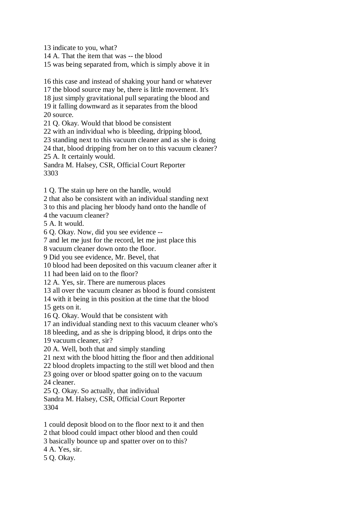13 indicate to you, what?

14 A. That the item that was -- the blood

15 was being separated from, which is simply above it in

16 this case and instead of shaking your hand or whatever 17 the blood source may be, there is little movement. It's 18 just simply gravitational pull separating the blood and 19 it falling downward as it separates from the blood 20 source.

21 Q. Okay. Would that blood be consistent

22 with an individual who is bleeding, dripping blood,

23 standing next to this vacuum cleaner and as she is doing

24 that, blood dripping from her on to this vacuum cleaner?

25 A. It certainly would.

Sandra M. Halsey, CSR, Official Court Reporter 3303

1 Q. The stain up here on the handle, would

2 that also be consistent with an individual standing next

3 to this and placing her bloody hand onto the handle of

4 the vacuum cleaner?

5 A. It would.

6 Q. Okay. Now, did you see evidence --

7 and let me just for the record, let me just place this

8 vacuum cleaner down onto the floor.

9 Did you see evidence, Mr. Bevel, that

10 blood had been deposited on this vacuum cleaner after it

11 had been laid on to the floor?

12 A. Yes, sir. There are numerous places

13 all over the vacuum cleaner as blood is found consistent

14 with it being in this position at the time that the blood

15 gets on it.

16 Q. Okay. Would that be consistent with

17 an individual standing next to this vacuum cleaner who's

18 bleeding, and as she is dripping blood, it drips onto the

19 vacuum cleaner, sir?

20 A. Well, both that and simply standing

21 next with the blood hitting the floor and then additional

22 blood droplets impacting to the still wet blood and then

23 going over or blood spatter going on to the vacuum 24 cleaner.

25 Q. Okay. So actually, that individual

Sandra M. Halsey, CSR, Official Court Reporter 3304

1 could deposit blood on to the floor next to it and then

2 that blood could impact other blood and then could

3 basically bounce up and spatter over on to this?

4 A. Yes, sir.

5 Q. Okay.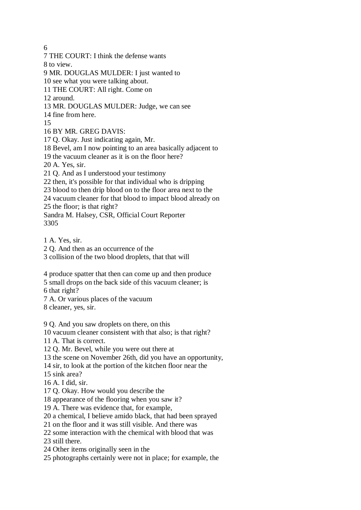6

7 THE COURT: I think the defense wants

8 to view.

9 MR. DOUGLAS MULDER: I just wanted to

10 see what you were talking about.

11 THE COURT: All right. Come on

12 around.

13 MR. DOUGLAS MULDER: Judge, we can see

14 fine from here.

15

16 BY MR. GREG DAVIS:

17 Q. Okay. Just indicating again, Mr.

18 Bevel, am I now pointing to an area basically adjacent to

19 the vacuum cleaner as it is on the floor here?

20 A. Yes, sir.

21 Q. And as I understood your testimony

22 then, it's possible for that individual who is dripping

23 blood to then drip blood on to the floor area next to the

24 vacuum cleaner for that blood to impact blood already on

25 the floor; is that right?

Sandra M. Halsey, CSR, Official Court Reporter 3305

1 A. Yes, sir.

2 Q. And then as an occurrence of the

3 collision of the two blood droplets, that that will

4 produce spatter that then can come up and then produce

5 small drops on the back side of this vacuum cleaner; is

6 that right?

7 A. Or various places of the vacuum

8 cleaner, yes, sir.

9 Q. And you saw droplets on there, on this

10 vacuum cleaner consistent with that also; is that right?

11 A. That is correct.

12 Q. Mr. Bevel, while you were out there at

13 the scene on November 26th, did you have an opportunity,

14 sir, to look at the portion of the kitchen floor near the

15 sink area?

16 A. I did, sir.

17 Q. Okay. How would you describe the

18 appearance of the flooring when you saw it?

19 A. There was evidence that, for example,

20 a chemical, I believe amido black, that had been sprayed

21 on the floor and it was still visible. And there was

22 some interaction with the chemical with blood that was

23 still there.

24 Other items originally seen in the

25 photographs certainly were not in place; for example, the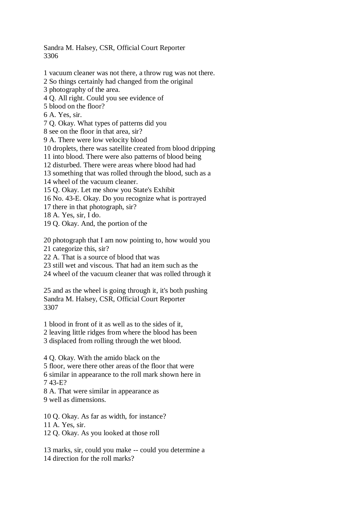Sandra M. Halsey, CSR, Official Court Reporter 3306

- 1 vacuum cleaner was not there, a throw rug was not there.
- 2 So things certainly had changed from the original
- 3 photography of the area.
- 4 Q. All right. Could you see evidence of
- 5 blood on the floor?
- 6 A. Yes, sir.
- 7 Q. Okay. What types of patterns did you
- 8 see on the floor in that area, sir?
- 9 A. There were low velocity blood
- 10 droplets, there was satellite created from blood dripping
- 11 into blood. There were also patterns of blood being
- 12 disturbed. There were areas where blood had had
- 13 something that was rolled through the blood, such as a
- 14 wheel of the vacuum cleaner.
- 15 Q. Okay. Let me show you State's Exhibit
- 16 No. 43-E. Okay. Do you recognize what is portrayed
- 17 there in that photograph, sir?
- 18 A. Yes, sir, I do.
- 19 Q. Okay. And, the portion of the
- 20 photograph that I am now pointing to, how would you
- 21 categorize this, sir?
- 22 A. That is a source of blood that was
- 23 still wet and viscous. That had an item such as the
- 24 wheel of the vacuum cleaner that was rolled through it
- 25 and as the wheel is going through it, it's both pushing Sandra M. Halsey, CSR, Official Court Reporter 3307
- 1 blood in front of it as well as to the sides of it,
- 2 leaving little ridges from where the blood has been
- 3 displaced from rolling through the wet blood.
- 4 Q. Okay. With the amido black on the
- 5 floor, were there other areas of the floor that were
- 6 similar in appearance to the roll mark shown here in 7 43-E?
- 8 A. That were similar in appearance as
- 9 well as dimensions.
- 10 Q. Okay. As far as width, for instance?
- 11 A. Yes, sir.
- 12 Q. Okay. As you looked at those roll
- 13 marks, sir, could you make -- could you determine a 14 direction for the roll marks?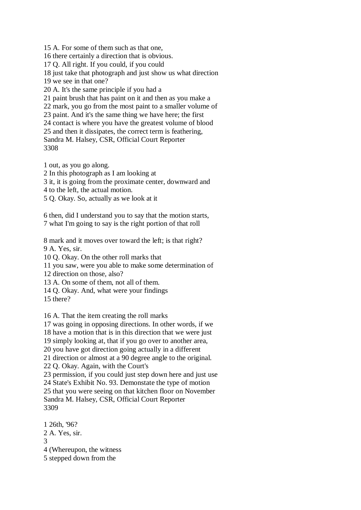15 A. For some of them such as that one, 16 there certainly a direction that is obvious. 17 Q. All right. If you could, if you could 18 just take that photograph and just show us what direction 19 we see in that one? 20 A. It's the same principle if you had a 21 paint brush that has paint on it and then as you make a 22 mark, you go from the most paint to a smaller volume of 23 paint. And it's the same thing we have here; the first 24 contact is where you have the greatest volume of blood 25 and then it dissipates, the correct term is feathering, Sandra M. Halsey, CSR, Official Court Reporter 3308

1 out, as you go along.

2 In this photograph as I am looking at

3 it, it is going from the proximate center, downward and

4 to the left, the actual motion.

5 Q. Okay. So, actually as we look at it

6 then, did I understand you to say that the motion starts, 7 what I'm going to say is the right portion of that roll

8 mark and it moves over toward the left; is that right? 9 A. Yes, sir.

10 Q. Okay. On the other roll marks that

11 you saw, were you able to make some determination of

12 direction on those, also?

13 A. On some of them, not all of them.

14 Q. Okay. And, what were your findings

15 there?

16 A. That the item creating the roll marks

17 was going in opposing directions. In other words, if we

18 have a motion that is in this direction that we were just

19 simply looking at, that if you go over to another area,

20 you have got direction going actually in a different

21 direction or almost at a 90 degree angle to the original.

22 Q. Okay. Again, with the Court's

23 permission, if you could just step down here and just use

24 State's Exhibit No. 93. Demonstate the type of motion 25 that you were seeing on that kitchen floor on November

Sandra M. Halsey, CSR, Official Court Reporter 3309

1 26th, '96? 2 A. Yes, sir.

3

4 (Whereupon, the witness

5 stepped down from the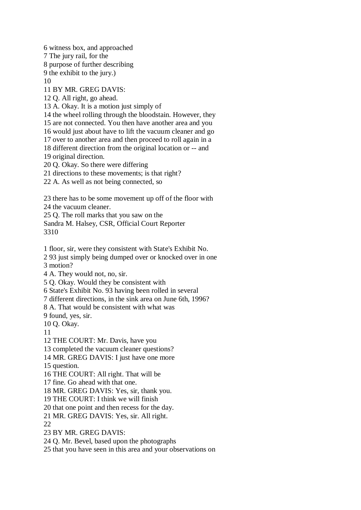6 witness box, and approached

7 The jury rail, for the

8 purpose of further describing

9 the exhibit to the jury.)

10

11 BY MR. GREG DAVIS:

12 Q. All right, go ahead.

13 A. Okay. It is a motion just simply of

14 the wheel rolling through the bloodstain. However, they

15 are not connected. You then have another area and you

16 would just about have to lift the vacuum cleaner and go

17 over to another area and then proceed to roll again in a

18 different direction from the original location or -- and

19 original direction.

20 Q. Okay. So there were differing

21 directions to these movements; is that right?

22 A. As well as not being connected, so

23 there has to be some movement up off of the floor with

24 the vacuum cleaner.

25 Q. The roll marks that you saw on the

Sandra M. Halsey, CSR, Official Court Reporter 3310

1 floor, sir, were they consistent with State's Exhibit No.

2 93 just simply being dumped over or knocked over in one

3 motion?

4 A. They would not, no, sir.

5 Q. Okay. Would they be consistent with

6 State's Exhibit No. 93 having been rolled in several

7 different directions, in the sink area on June 6th, 1996?

8 A. That would be consistent with what was

9 found, yes, sir.

10 Q. Okay.

11

12 THE COURT: Mr. Davis, have you

13 completed the vacuum cleaner questions?

14 MR. GREG DAVIS: I just have one more

15 question.

16 THE COURT: All right. That will be

17 fine. Go ahead with that one.

18 MR. GREG DAVIS: Yes, sir, thank you.

19 THE COURT: I think we will finish

20 that one point and then recess for the day.

21 MR. GREG DAVIS: Yes, sir. All right.

22

23 BY MR. GREG DAVIS:

24 Q. Mr. Bevel, based upon the photographs

25 that you have seen in this area and your observations on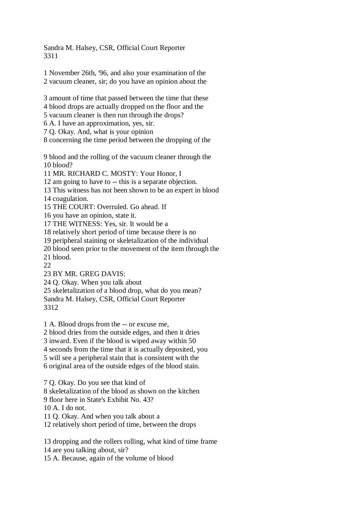Sandra M. Halsey, CSR, Official Court Reporter 3311

1 November 26th, '96, and also your examination of the 2 vacuum cleaner, sir; do you have an opinion about the

3 amount of time that passed between the time that these 4 blood drops are actually dropped on the floor and the 5 vacuum cleaner is then run through the drops?

6 A. I have an approximation, yes, sir.

7 Q. Okay. And, what is your opinion

8 concerning the time period between the dropping of the

9 blood and the rolling of the vacuum cleaner through the 10 blood?

11 MR. RICHARD C. MOSTY: Your Honor, I

12 am going to have to -- this is a separate objection.

13 This witness has not been shown to be an expert in blood

14 coagulation.

15 THE COURT: Overruled. Go ahead. If

16 you have an opinion, state it.

17 THE WITNESS: Yes, sir. It would be a

18 relatively short period of time because there is no

19 peripheral staining or skeletalization of the individual

20 blood seen prior to the movement of the item through the

21 blood.

 $22$ 

23 BY MR. GREG DAVIS:

24 Q. Okay. When you talk about

25 skeletalization of a blood drop, what do you mean? Sandra M. Halsey, CSR, Official Court Reporter

3312

1 A. Blood drops from the -- or excuse me,

2 blood dries from the outside edges, and then it dries

3 inward. Even if the blood is wiped away within 50

4 seconds from the time that it is actually deposited, you

5 will see a peripheral stain that is consistent with the

6 original area of the outside edges of the blood stain.

7 Q. Okay. Do you see that kind of 8 skeletalization of the blood as shown on the kitchen 9 floor here in State's Exhibit No. 43?

10 A. I do not.

11 Q. Okay. And when you talk about a

12 relatively short period of time, between the drops

13 dropping and the rollers rolling, what kind of time frame

14 are you talking about, sir?

15 A. Because, again of the volume of blood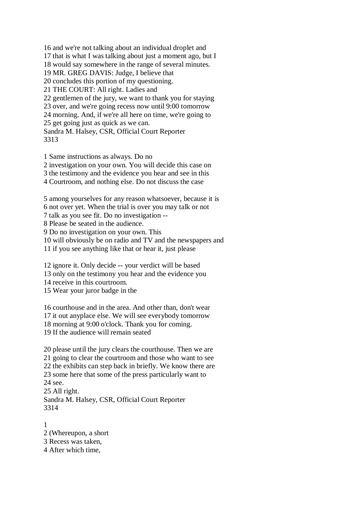16 and we're not talking about an individual droplet and 17 that is what I was talking about just a moment ago, but I 18 would say somewhere in the range of several minutes. 19 MR. GREG DAVIS: Judge, I believe that 20 concludes this portion of my questioning. 21 THE COURT: All right. Ladies and 22 gentlemen of the jury, we want to thank you for staying 23 over, and we're going recess now until 9:00 tomorrow 24 morning. And, if we're all here on time, we're going to 25 get going just as quick as we can. Sandra M. Halsey, CSR, Official Court Reporter

3313

1 Same instructions as always. Do no

2 investigation on your own. You will decide this case on

3 the testimony and the evidence you hear and see in this

4 Courtroom, and nothing else. Do not discuss the case

5 among yourselves for any reason whatsoever, because it is

6 not over yet. When the trial is over you may talk or not

7 talk as you see fit. Do no investigation --

8 Please be seated in the audience.

9 Do no investigation on your own. This

10 will obviously be on radio and TV and the newspapers and

11 if you see anything like that or hear it, just please

12 ignore it. Only decide -- your verdict will be based

13 only on the testimony you hear and the evidence you

14 receive in this courtroom.

15 Wear your juror badge in the

16 courthouse and in the area. And other than, don't wear

17 it out anyplace else. We will see everybody tomorrow

18 morning at 9:00 o'clock. Thank you for coming.

19 If the audience will remain seated

20 please until the jury clears the courthouse. Then we are 21 going to clear the courtroom and those who want to see 22 the exhibits can step back in briefly. We know there are 23 some here that some of the press particularly want to 24 see. 25 All right. Sandra M. Halsey, CSR, Official Court Reporter 3314

1

2 (Whereupon, a short

3 Recess was taken,

4 After which time,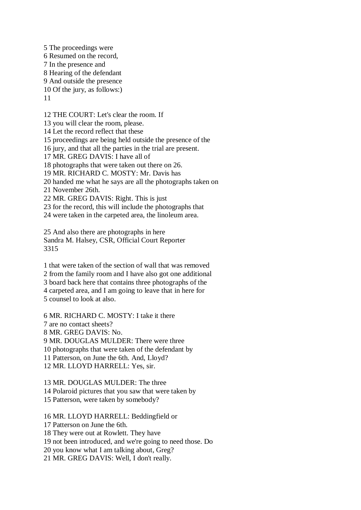5 The proceedings were 6 Resumed on the record, 7 In the presence and 8 Hearing of the defendant 9 And outside the presence 10 Of the jury, as follows:) 11

12 THE COURT: Let's clear the room. If

13 you will clear the room, please.

14 Let the record reflect that these

15 proceedings are being held outside the presence of the

16 jury, and that all the parties in the trial are present.

17 MR. GREG DAVIS: I have all of

18 photographs that were taken out there on 26.

19 MR. RICHARD C. MOSTY: Mr. Davis has

20 handed me what he says are all the photographs taken on

21 November 26th.

22 MR. GREG DAVIS: Right. This is just

23 for the record, this will include the photographs that

24 were taken in the carpeted area, the linoleum area.

25 And also there are photographs in here Sandra M. Halsey, CSR, Official Court Reporter 3315

1 that were taken of the section of wall that was removed 2 from the family room and I have also got one additional 3 board back here that contains three photographs of the 4 carpeted area, and I am going to leave that in here for 5 counsel to look at also.

6 MR. RICHARD C. MOSTY: I take it there 7 are no contact sheets? 8 MR. GREG DAVIS: No. 9 MR. DOUGLAS MULDER: There were three 10 photographs that were taken of the defendant by 11 Patterson, on June the 6th. And, Lloyd? 12 MR. LLOYD HARRELL: Yes, sir.

13 MR. DOUGLAS MULDER: The three 14 Polaroid pictures that you saw that were taken by 15 Patterson, were taken by somebody?

16 MR. LLOYD HARRELL: Beddingfield or 17 Patterson on June the 6th. 18 They were out at Rowlett. They have 19 not been introduced, and we're going to need those. Do 20 you know what I am talking about, Greg? 21 MR. GREG DAVIS: Well, I don't really.